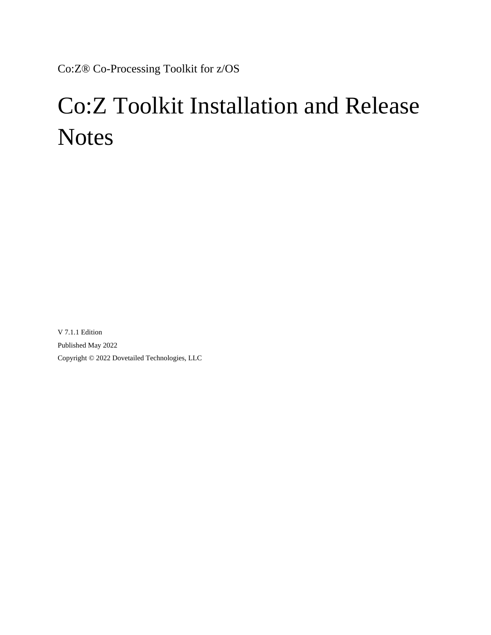<span id="page-0-0"></span>Co:Z® Co-Processing Toolkit for z/OS

# Co:Z Toolkit Installation and Release **Notes**

V 7.1.1 Edition Published May 2022 Copyright © 2022 Dovetailed Technologies, LLC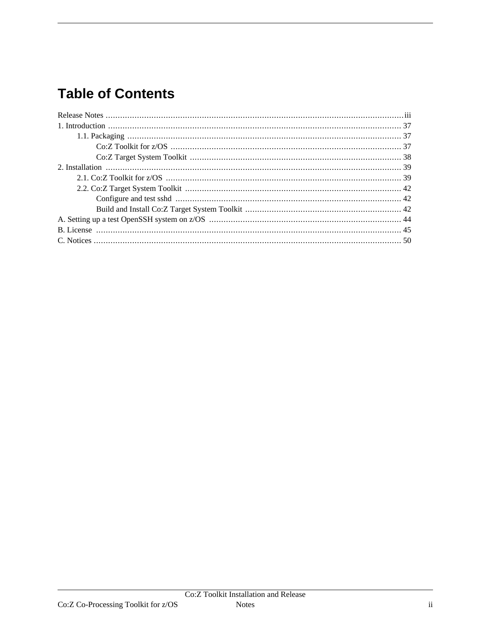# **Table of Contents**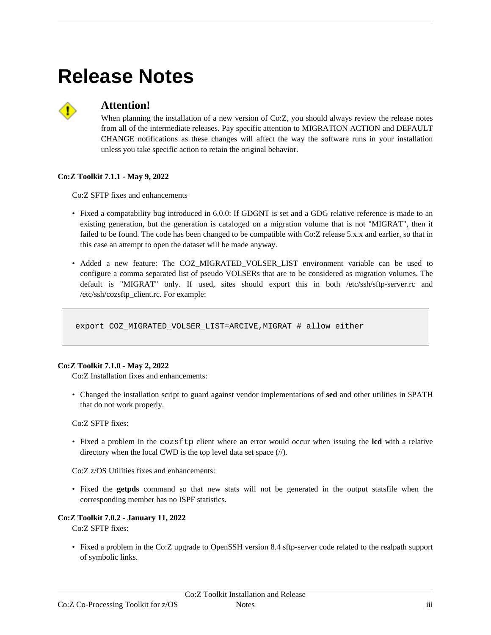# <span id="page-2-0"></span>**Release Notes**



# **Attention!**

When planning the installation of a new version of Co:Z, you should always review the release notes from all of the intermediate releases. Pay specific attention to MIGRATION ACTION and DEFAULT CHANGE notifications as these changes will affect the way the software runs in your installation unless you take specific action to retain the original behavior.

## **Co:Z Toolkit 7.1.1 - May 9, 2022**

Co:Z SFTP fixes and enhancements

- Fixed a compatability bug introduced in 6.0.0: If GDGNT is set and a GDG relative reference is made to an existing generation, but the generation is cataloged on a migration volume that is not "MIGRAT", then it failed to be found. The code has been changed to be compatible with Co:Z release 5.x.x and earlier, so that in this case an attempt to open the dataset will be made anyway.
- Added a new feature: The COZ\_MIGRATED\_VOLSER\_LIST environment variable can be used to configure a comma separated list of pseudo VOLSERs that are to be considered as migration volumes. The default is "MIGRAT" only. If used, sites should export this in both /etc/ssh/sftp-server.rc and /etc/ssh/cozsftp\_client.rc. For example:

export COZ\_MIGRATED\_VOLSER\_LIST=ARCIVE,MIGRAT # allow either

## **Co:Z Toolkit 7.1.0 - May 2, 2022**

Co:Z Installation fixes and enhancements:

• Changed the installation script to guard against vendor implementations of **sed** and other utilities in \$PATH that do not work properly.

#### Co:Z SFTP fixes:

• Fixed a problem in the cozsftp client where an error would occur when issuing the **lcd** with a relative directory when the local CWD is the top level data set space (//).

Co:Z z/OS Utilities fixes and enhancements:

• Fixed the **getpds** command so that new stats will not be generated in the output statsfile when the corresponding member has no ISPF statistics.

#### **Co:Z Toolkit 7.0.2 - January 11, 2022**

Co:Z SFTP fixes:

• Fixed a problem in the Co:Z upgrade to OpenSSH version 8.4 sftp-server code related to the realpath support of symbolic links.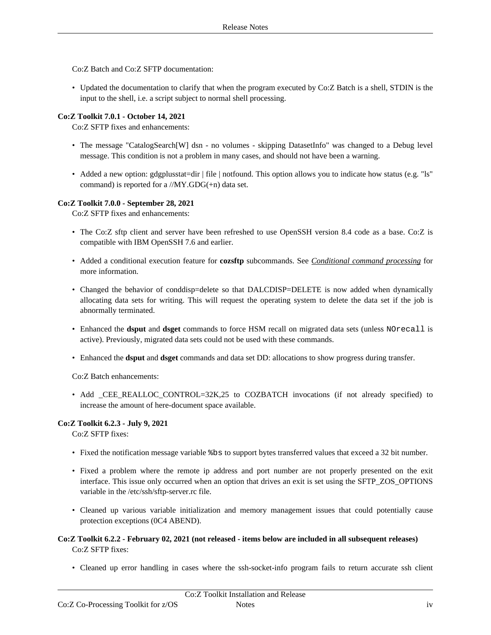Co:Z Batch and Co:Z SFTP documentation:

• Updated the documentation to clarify that when the program executed by Co:Z Batch is a shell, STDIN is the input to the shell, i.e. a script subject to normal shell processing.

#### **Co:Z Toolkit 7.0.1 - October 14, 2021**

Co:Z SFTP fixes and enhancements:

- The message "CatalogSearch<sup>[W]</sup> dsn no volumes skipping DatasetInfo" was changed to a Debug level message. This condition is not a problem in many cases, and should not have been a warning.
- Added a new option: gdgplusstat=dir | file | notfound. This option allows you to indicate how status (e.g. "ls" command) is reported for a //MY.GDG(+n) data set.

#### **Co:Z Toolkit 7.0.0 - September 28, 2021**

Co:Z SFTP fixes and enhancements:

- The Co:Z sftp client and server have been refreshed to use OpenSSH version 8.4 code as a base. Co:Z is compatible with IBM OpenSSH 7.6 and earlier.
- Added a conditional execution feature for **cozsftp** subcommands. See *Conditional command [processing](http://coztoolkit.com/docs/sftp/client.html#client-batch-conditional)* for more information.
- Changed the behavior of conddisp=delete so that DALCDISP=DELETE is now added when dynamically allocating data sets for writing. This will request the operating system to delete the data set if the job is abnormally terminated.
- Enhanced the **dsput** and **dsget** commands to force HSM recall on migrated data sets (unless NOrecall is active). Previously, migrated data sets could not be used with these commands.
- Enhanced the **dsput** and **dsget** commands and data set DD: allocations to show progress during transfer.

Co:Z Batch enhancements:

• Add \_CEE\_REALLOC\_CONTROL=32K,25 to COZBATCH invocations (if not already specified) to increase the amount of here-document space available.

#### **Co:Z Toolkit 6.2.3 - July 9, 2021**

Co:Z SFTP fixes:

- Fixed the notification message variable %bs to support bytes transferred values that exceed a 32 bit number.
- Fixed a problem where the remote ip address and port number are not properly presented on the exit interface. This issue only occurred when an option that drives an exit is set using the SFTP\_ZOS\_OPTIONS variable in the /etc/ssh/sftp-server.rc file.
- Cleaned up various variable initialization and memory management issues that could potentially cause protection exceptions (0C4 ABEND).
- **Co:Z Toolkit 6.2.2 February 02, 2021 (not released items below are included in all subsequent releases)** Co:Z SFTP fixes:
	- Cleaned up error handling in cases where the ssh-socket-info program fails to return accurate ssh client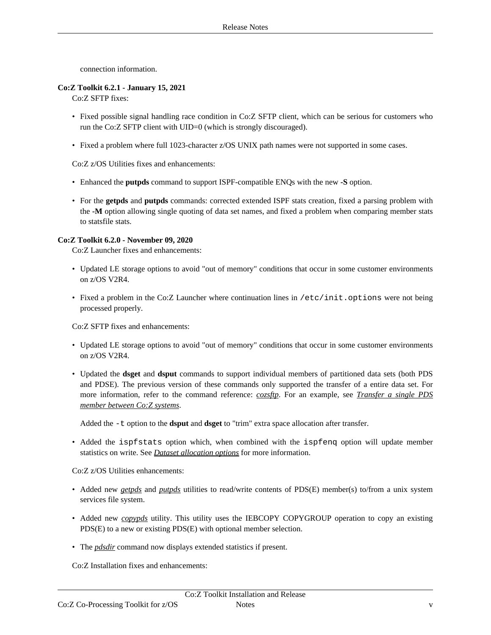connection information.

#### **Co:Z Toolkit 6.2.1 - January 15, 2021**

Co:Z SFTP fixes:

- Fixed possible signal handling race condition in Co:Z SFTP client, which can be serious for customers who run the Co:Z SFTP client with UID=0 (which is strongly discouraged).
- Fixed a problem where full 1023-character z/OS UNIX path names were not supported in some cases.

Co:Z z/OS Utilities fixes and enhancements:

- Enhanced the **putpds** command to support ISPF-compatible ENQs with the new **-S** option.
- For the **getpds** and **putpds** commands: corrected extended ISPF stats creation, fixed a parsing problem with the **-M** option allowing single quoting of data set names, and fixed a problem when comparing member stats to statsfile stats.

#### **Co:Z Toolkit 6.2.0 - November 09, 2020**

Co:Z Launcher fixes and enhancements:

- Updated LE storage options to avoid "out of memory" conditions that occur in some customer environments on z/OS V2R4.
- Fixed a problem in the Co:Z Launcher where continuation lines in /etc/init.options were not being processed properly.

Co:Z SFTP fixes and enhancements:

- Updated LE storage options to avoid "out of memory" conditions that occur in some customer environments on z/OS V2R4.
- Updated the **dsget** and **dsput** commands to support individual members of partitioned data sets (both PDS and PDSE). The previous version of these commands only supported the transfer of a entire data set. For more information, refer to the command reference: *coz[sftp](http://coztoolkit.com/docs/sftp/cozsftp_ref.html)*. For an example, see *Transfer a [single](http://coztoolkit.com/docs/sftp/client.html#client-ztoz-pds-member) PDS member [between](http://coztoolkit.com/docs/sftp/client.html#client-ztoz-pds-member) Co:Z systems*.

Added the -t option to the **dsput** and **dsget** to "trim" extra space allocation after transfer.

• Added the ispfstats option which, when combined with the ispfeng option will update member statistics on write. See *Dataset [allocation](http://coztoolkit.com/docs/sftp/options.html#options_bpxwdyn) options* for more information.

Co:Z z/OS Utilities enhancements:

- Added new *[getpds](http://coztoolkit.com/docs/zos-utilities/dsp-ref_getpds.html)* and *[putpds](http://coztoolkit.com/docs/zos-utilities/dsp-ref_putpds.html)* utilities to read/write contents of PDS(E) member(s) to/from a unix system services file system.
- Added new *[copypds](http://coztoolkit.com/docs/zos-utilities/dsp-ref_copypds.html)* utility. This utility uses the IEBCOPY COPYGROUP operation to copy an existing PDS(E) to a new or existing PDS(E) with optional member selection.
- The *[pdsdir](http://coztoolkit.com/docs/zos-utilities/dsp-ref_pdsdir.html)* command now displays extended statistics if present.

Co:Z Installation fixes and enhancements: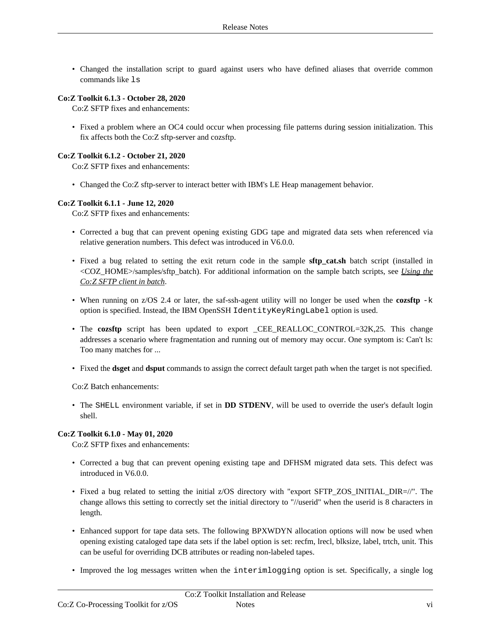• Changed the installation script to guard against users who have defined aliases that override common commands like ls

#### **Co:Z Toolkit 6.1.3 - October 28, 2020**

Co:Z SFTP fixes and enhancements:

• Fixed a problem where an OC4 could occur when processing file patterns during session initialization. This fix affects both the Co:Z sftp-server and cozsftp.

#### **Co:Z Toolkit 6.1.2 - October 21, 2020**

Co:Z SFTP fixes and enhancements:

• Changed the Co:Z sftp-server to interact better with IBM's LE Heap management behavior.

#### **Co:Z Toolkit 6.1.1 - June 12, 2020**

Co:Z SFTP fixes and enhancements:

- Corrected a bug that can prevent opening existing GDG tape and migrated data sets when referenced via relative generation numbers. This defect was introduced in V6.0.0.
- Fixed a bug related to setting the exit return code in the sample **sftp\_cat.sh** batch script (installed in <COZ\_HOME>/samples/sftp\_batch). For additional information on the sample batch scripts, see *U[sing](http://coztoolkit.com/docs/sftp/client.html#client-batch) the Co:Z [SFTP](http://coztoolkit.com/docs/sftp/client.html#client-batch) client in batch*.
- When running on z/OS 2.4 or later, the saf-ssh-agent utility will no longer be used when the **cozsftp** -k option is specified. Instead, the IBM OpenSSH IdentityKeyRingLabel option is used.
- The **cozsftp** script has been updated to export \_CEE\_REALLOC\_CONTROL=32K,25. This change addresses a scenario where fragmentation and running out of memory may occur. One symptom is: Can't ls: Too many matches for ...
- Fixed the **dsget** and **dsput** commands to assign the correct default target path when the target is not specified.

Co:Z Batch enhancements:

• The SHELL environment variable, if set in **DD STDENV**, will be used to override the user's default login shell.

#### **Co:Z Toolkit 6.1.0 - May 01, 2020**

Co:Z SFTP fixes and enhancements:

- Corrected a bug that can prevent opening existing tape and DFHSM migrated data sets. This defect was introduced in V6.0.0.
- Fixed a bug related to setting the initial z/OS directory with "export SFTP\_ZOS\_INITIAL\_DIR=//". The change allows this setting to correctly set the initial directory to "//userid" when the userid is 8 characters in length.
- Enhanced support for tape data sets. The following BPXWDYN allocation options will now be used when opening existing cataloged tape data sets if the label option is set: recfm, lrecl, blksize, label, trtch, unit. This can be useful for overriding DCB attributes or reading non-labeled tapes.
- Improved the log messages written when the interimlogging option is set. Specifically, a single log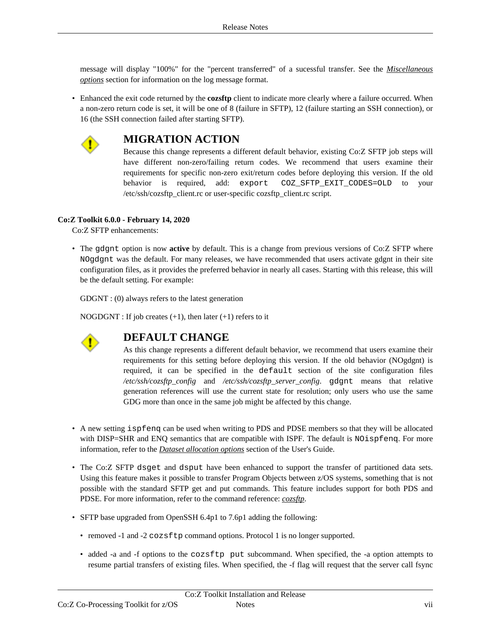message will display "100%" for the "percent transferred" of a sucessful transfer. See the *Misc[ellaneous](http://coztoolkit.com/docs/sftp/options.html#options_misc) [options](http://coztoolkit.com/docs/sftp/options.html#options_misc)* section for information on the log message format.

• Enhanced the exit code returned by the **cozsftp** client to indicate more clearly where a failure occurred. When a non-zero return code is set, it will be one of 8 (failure in SFTP), 12 (failure starting an SSH connection), or 16 (the SSH connection failed after starting SFTP).



# **MIGRATION ACTION**

Because this change represents a different default behavior, existing Co:Z SFTP job steps will have different non-zero/failing return codes. We recommend that users examine their requirements for specific non-zero exit/return codes before deploying this version. If the old behavior is required, add: export COZ\_SFTP\_EXIT\_CODES=OLD to your /etc/ssh/cozsftp\_client.rc or user-specific cozsftp\_client.rc script.

## **Co:Z Toolkit 6.0.0 - February 14, 2020**

Co:Z SFTP enhancements:

• The gdgnt option is now **active** by default. This is a change from previous versions of Co:Z SFTP where NOgdgnt was the default. For many releases, we have recommended that users activate gdgnt in their site configuration files, as it provides the preferred behavior in nearly all cases. Starting with this release, this will be the default setting. For example:

GDGNT : (0) always refers to the latest generation

NOGDGNT : If job creates  $(+1)$ , then later  $(+1)$  refers to it



# **DEFAULT CHANGE**

As this change represents a different default behavior, we recommend that users examine their requirements for this setting before deploying this version. If the old behavior (NOgdgnt) is required, it can be specified in the default section of the site configuration files */etc/ssh/cozsftp\_config* and */etc/ssh/cozsftp\_server\_config*. gdgnt means that relative generation references will use the current state for resolution; only users who use the same GDG more than once in the same job might be affected by this change.

- A new setting ispfenq can be used when writing to PDS and PDSE members so that they will be allocated with DISP=SHR and ENQ semantics that are compatible with ISPF. The default is NOispfenq. For more information, refer to the *Dataset [allocation](http://coztoolkit.com/docs/sftp/options.html#options_bpxwdyn) options* section of the User's Guide.
- The Co:Z SFTP dsget and dsput have been enhanced to support the transfer of partitioned data sets. Using this feature makes it possible to transfer Program Objects between z/OS systems, something that is not possible with the standard SFTP get and put commands. This feature includes support for both PDS and PDSE. For more information, refer to the command reference: *[cozsftp](http://coztoolkit.com/docs/sftp/cozsftp_ref.html)*.
- SFTP base upgraded from OpenSSH 6.4p1 to 7.6p1 adding the following:
	- removed -1 and -2 cozsftp command options. Protocol 1 is no longer supported.
	- added -a and -f options to the cozsftp put subcommand. When specified, the -a option attempts to resume partial transfers of existing files. When specified, the -f flag will request that the server call fsync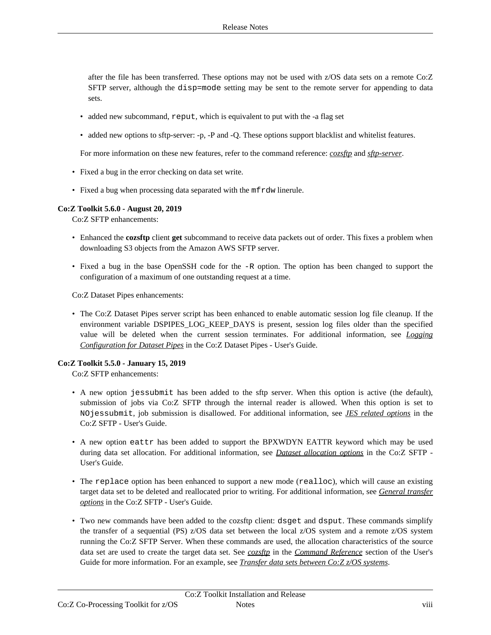after the file has been transferred. These options may not be used with z/OS data sets on a remote Co:Z SFTP server, although the disp=mode setting may be sent to the remote server for appending to data sets.

- added new subcommand, reput, which is equivalent to put with the -a flag set
- added new options to sftp-server: -p, -P and -Q. These options support blacklist and whitelist features.

For more information on these new features, refer to the command reference: *[cozsftp](http://coztoolkit.com/docs/sftp/cozsftp_ref.html)* and *[sftp-server](http://coztoolkit.com/docs/sftp/sftpserver_ref.html)*.

- Fixed a bug in the error checking on data set write.
- Fixed a bug when processing data separated with the mf rdw linerule.

#### **Co:Z Toolkit 5.6.0 - August 20, 2019**

Co:Z SFTP enhancements:

- Enhanced the **cozsftp** client **get** subcommand to receive data packets out of order. This fixes a problem when downloading S3 objects from the Amazon AWS SFTP server.
- Fixed a bug in the base OpenSSH code for the -R option. The option has been changed to support the configuration of a maximum of one outstanding request at a time.

Co:Z Dataset Pipes enhancements:

• The Co:Z Dataset Pipes server script has been enhanced to enable automatic session log file cleanup. If the environment variable DSPIPES\_LOG\_KEEP\_DAYS is present, session log files older than the specified value will be deleted when the current session terminates. For additional information, see *Logging [Configuration](http://coztoolkit.com/docs/dspipes/dsp-install.html#config_server_logging) for Dataset Pipes* in the Co:Z Dataset Pipes - User's Guide.

#### **Co:Z Toolkit 5.5.0 - January 15, 2019**

Co:Z SFTP enhancements:

- A new option jessubmit has been added to the sftp server. When this option is active (the default), submission of jobs via Co:Z SFTP through the internal reader is allowed. When this option is set to NOjessubmit, job submission is disallowed. For additional information, see *JES related [options](http://coztoolkit.com/docs/sftp/using.html#server_jes_options)* in the Co:Z SFTP - User's Guide.
- A new option eattr has been added to support the BPXWDYN EATTR keyword which may be used during data set allocation. For additional information, see *Dataset [allocation](http://coztoolkit.com/docs/sftp/options.html#options_bpxwdyn) options* in the Co:Z SFTP - User's Guide.
- The replace option has been enhanced to support a new mode (realloc), which will cause an existing target data set to be deleted and reallocated prior to writing. For additional information, see *General [transfer](http://coztoolkit.com/docs/sftp/options.html#options_general) [options](http://coztoolkit.com/docs/sftp/options.html#options_general)* in the Co:Z SFTP - User's Guide.
- Two new commands have been added to the cozsftp client: dsget and dsput. These commands simplify the transfer of a sequential (PS) z/OS data set between the local z/OS system and a remote z/OS system running the Co:Z SFTP Server. When these commands are used, the allocation characteristics of the source data set are used to create the target data set. See *co[zsftp](http://coztoolkit.com/docs/sftp/cozsftp_ref.html)* in the *Command [Reference](http://coztoolkit.com/docs/sftp/cozsftp_ref.html)* section of the User's Guide for more information. For an example, see *[Transfer](http://coztoolkit.com/docs/sftp/client.html#client-ztoz-ps) data sets between Co:Z z/OS systems*.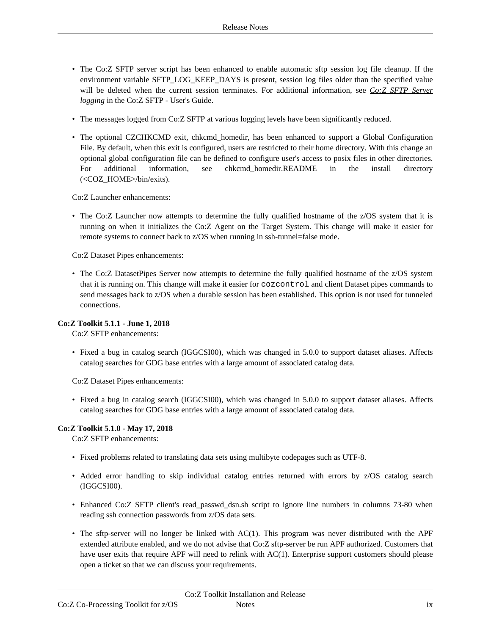- The Co:Z SFTP server script has been enhanced to enable automatic sftp session log file cleanup. If the environment variable SFTP\_LOG\_KEEP\_DAYS is present, session log files older than the specified value will be deleted when the current session terminates. For additional information, see *Co:Z SFTP [Server](http://coztoolkit.com/docs/sftp/config.html#config_server_logging) [logging](http://coztoolkit.com/docs/sftp/config.html#config_server_logging)* in the Co:Z SFTP - User's Guide.
- The messages logged from Co:Z SFTP at various logging levels have been significantly reduced.
- The optional CZCHKCMD exit, chkcmd homedir, has been enhanced to support a Global Configuration File. By default, when this exit is configured, users are restricted to their home directory. With this change an optional global configuration file can be defined to configure user's access to posix files in other directories. For additional information, see chkcmd\_homedir.README in the install directory (<COZ\_HOME>/bin/exits).

Co:Z Launcher enhancements:

• The Co:Z Launcher now attempts to determine the fully qualified hostname of the z/OS system that it is running on when it initializes the Co:Z Agent on the Target System. This change will make it easier for remote systems to connect back to z/OS when running in ssh-tunnel=false mode.

Co:Z Dataset Pipes enhancements:

• The Co:Z DatasetPipes Server now attempts to determine the fully qualified hostname of the z/OS system that it is running on. This change will make it easier for cozcontrol and client Dataset pipes commands to send messages back to z/OS when a durable session has been established. This option is not used for tunneled connections.

## **Co:Z Toolkit 5.1.1 - June 1, 2018**

Co:Z SFTP enhancements:

• Fixed a bug in catalog search (IGGCSI00), which was changed in 5.0.0 to support dataset aliases. Affects catalog searches for GDG base entries with a large amount of associated catalog data.

Co:Z Dataset Pipes enhancements:

• Fixed a bug in catalog search (IGGCSI00), which was changed in 5.0.0 to support dataset aliases. Affects catalog searches for GDG base entries with a large amount of associated catalog data.

## **Co:Z Toolkit 5.1.0 - May 17, 2018**

Co:Z SFTP enhancements:

- Fixed problems related to translating data sets using multibyte codepages such as UTF-8.
- Added error handling to skip individual catalog entries returned with errors by z/OS catalog search (IGGCSI00).
- Enhanced Co:Z SFTP client's read\_passwd\_dsn.sh script to ignore line numbers in columns 73-80 when reading ssh connection passwords from z/OS data sets.
- The sftp-server will no longer be linked with AC(1). This program was never distributed with the APF extended attribute enabled, and we do not advise that Co:Z sftp-server be run APF authorized. Customers that have user exits that require APF will need to relink with AC(1). Enterprise support customers should please open a ticket so that we can discuss your requirements.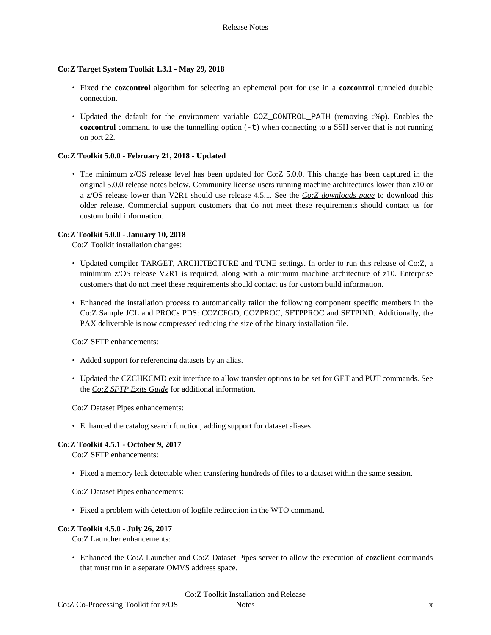#### **Co:Z Target System Toolkit 1.3.1 - May 29, 2018**

- Fixed the **cozcontrol** algorithm for selecting an ephemeral port for use in a **cozcontrol** tunneled durable connection.
- Updated the default for the environment variable COZ CONTROL PATH (removing :%p). Enables the **cozcontrol** command to use the tunnelling option  $(-t)$  when connecting to a SSH server that is not running on port 22.

#### **Co:Z Toolkit 5.0.0 - February 21, 2018 - Updated**

• The minimum z/OS release level has been updated for Co:Z 5.0.0. This change has been captured in the original 5.0.0 release notes below. Community license users running machine architectures lower than z10 or a z/OS release lower than V2R1 should use release 4.5.1. See the *Co:Z [downloads](http://coztoolkit.com/downloads/coz/index.html) page* to download this older release. Commercial support customers that do not meet these requirements should contact us for custom build information.

#### **Co:Z Toolkit 5.0.0 - January 10, 2018**

Co:Z Toolkit installation changes:

- Updated compiler TARGET, ARCHITECTURE and TUNE settings. In order to run this release of Co:Z, a minimum z/OS release V2R1 is required, along with a minimum machine architecture of z10. Enterprise customers that do not meet these requirements should contact us for custom build information.
- Enhanced the installation process to automatically tailor the following component specific members in the Co:Z Sample JCL and PROCs PDS: COZCFGD, COZPROC, SFTPPROC and SFTPIND. Additionally, the PAX deliverable is now compressed reducing the size of the binary installation file.

Co:Z SFTP enhancements:

- Added support for referencing datasets by an alias.
- Updated the CZCHKCMD exit interface to allow transfer options to be set for GET and PUT commands. See the *Co:Z SFTP Exits [Guide](http://coztoolkit.com/docs/coz/coz_index.html)* for additional information.

Co:Z Dataset Pipes enhancements:

• Enhanced the catalog search function, adding support for dataset aliases.

#### **Co:Z Toolkit 4.5.1 - October 9, 2017**

Co:Z SFTP enhancements:

• Fixed a memory leak detectable when transfering hundreds of files to a dataset within the same session.

Co:Z Dataset Pipes enhancements:

• Fixed a problem with detection of logfile redirection in the WTO command.

#### **Co:Z Toolkit 4.5.0 - July 26, 2017**

Co:Z Launcher enhancements:

• Enhanced the Co:Z Launcher and Co:Z Dataset Pipes server to allow the execution of **cozclient** commands that must run in a separate OMVS address space.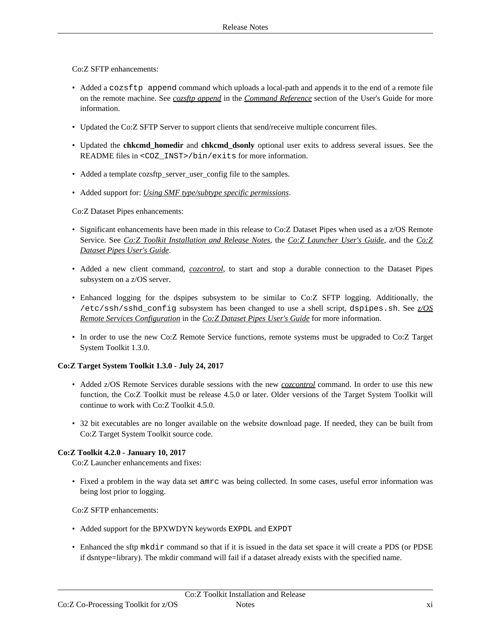Co:Z SFTP enhancements:

- Added a cozsftp append command which uploads a local-path and appends it to the end of a remote file on the remote machine. See *cozsftp [append](http://coztoolkit.com/docs/sftp/cozsftp_ref.html)* in the *Command [Reference](http://coztoolkit.com/docs/sftp/cozsftp_ref.html)* section of the User's Guide for more information.
- Updated the Co:Z SFTP Server to support clients that send/receive multiple concurrent files.
- Updated the **chkcmd\_homedir** and **chkcmd\_dsonly** optional user exits to address several issues. See the README files in <COZ\_INST>/bin/exits for more information.
- Added a template cozsftp\_server\_user\_config file to the samples.
- Added support for: *Using SMF [type/subtype](http://coztoolkit.com/docs/sftp/smf-support.html#fine-grained-permissions) specific permissions*.

Co:Z Dataset Pipes enhancements:

- Significant enhancements have been made in this release to Co:Z Dataset Pipes when used as a z/OS Remote Service. See *Co:Z Toolkit [Installation](http://coztoolkit.com/docs/cozinstall/index.html) and Release Notes*, the *Co:Z [Launcher](http://coztoolkit.com/docs/coz/index.html) User's Guide*, and the *Co:Z [Dataset](http://coztoolkit.com/docs/dspipes/index.html) Pipes User's Guide*.
- Added a new client command, *co[zcontrol](http://coztoolkit.com/docs/dspipes/dsp-ref_cozcontrol.html)*, to start and stop a durable connection to the Dataset Pipes subsystem on a z/OS server.
- Enhanced logging for the dspipes subsystem to be similar to Co:Z SFTP logging. Additionally, the /etc/ssh/sshd\_config subsystem has been changed to use a shell script, dspipes.sh. See *z/OS Remote Services [Configuration](http://coztoolkit.com/docs/dspipes/dsp-install.html#dsp_install_remote_dspipes)* in the *Co:Z [Dataset](http://coztoolkit.com/docs/dspipes/index.html) Pipes User's Guide* for more information.
- In order to use the new Co:Z Remote Service functions, remote systems must be upgraded to Co:Z Target System Toolkit 1.3.0.

#### **Co:Z Target System Toolkit 1.3.0 - July 24, 2017**

- Added z/OS Remote Services durable sessions with the new *c[ozcontrol](http://coztoolkit.com/docs/dspipes/dsp-ref_cozcontrol.html)* command. In order to use this new function, the Co:Z Toolkit must be release 4.5.0 or later. Older versions of the Target System Toolkit will continue to work with Co:Z Toolkit 4.5.0.
- 32 bit executables are no longer available on the website download page. If needed, they can be built from Co:Z Target System Toolkit source code.

#### **Co:Z Toolkit 4.2.0 - January 10, 2017**

Co:Z Launcher enhancements and fixes:

• Fixed a problem in the way data set amrc was being collected. In some cases, useful error information was being lost prior to logging.

Co:Z SFTP enhancements:

- Added support for the BPXWDYN keywords EXPDL and EXPDT
- Enhanced the sftp mkdir command so that if it is issued in the data set space it will create a PDS (or PDSE if dsntype=library). The mkdir command will fail if a dataset already exists with the specified name.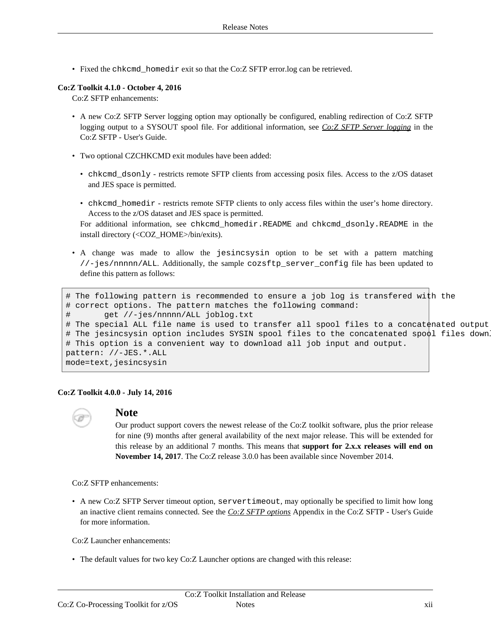• Fixed the chkcmd\_homedir exit so that the Co:Z SFTP error.log can be retrieved.

#### **Co:Z Toolkit 4.1.0 - October 4, 2016**

Co:Z SFTP enhancements:

- A new Co:Z SFTP Server logging option may optionally be configured, enabling redirection of Co:Z SFTP logging output to a SYSOUT spool file. For additional information, see *Co:Z SFTP Server [logging](http://coztoolkit.com/docs/sftp/config.html#config_server_logging)* in the Co:Z SFTP - User's Guide.
- Two optional CZCHKCMD exit modules have been added:
	- chkcmd\_dsonly restricts remote SFTP clients from accessing posix files. Access to the z/OS dataset and JES space is permitted.
	- chkcmd\_homedir restricts remote SFTP clients to only access files within the user's home directory. Access to the z/OS dataset and JES space is permitted.

For additional information, see chkcmd\_homedir.README and chkcmd\_dsonly.README in the install directory (<COZ\_HOME>/bin/exits).

• A change was made to allow the jesincsysin option to be set with a pattern matching //-jes/nnnnn/ALL. Additionally, the sample cozsftp\_server\_config file has been updated to define this pattern as follows:

```
# The following pattern is recommended to ensure a job log is transfered with the
# correct options. The pattern matches the following command:
       get //-jes/nnnnn/ALL joblog.txt
# The special ALL file name is used to transfer all spool files to a concatenated output
# The jesincsysin option includes SYSIN spool files to the concatenated spool files down
# This option is a convenient way to download all job input and output.
pattern: //-JES.*.ALL
mode=text,jesincsysin
```
#### **Co:Z Toolkit 4.0.0 - July 14, 2016**



## **Note**

Our product support covers the newest release of the Co:Z toolkit software, plus the prior release for nine (9) months after general availability of the next major release. This will be extended for this release by an additional 7 months. This means that **support for 2.x.x releases will end on November 14, 2017**. The Co:Z release 3.0.0 has been available since November 2014.

Co:Z SFTP enhancements:

• A new Co:Z SFTP Server timeout option, servertimeout, may optionally be specified to limit how long an inactive client remains connected. See the *Co:Z SFTP [options](http://coztoolkit.com/docs/sftp/options.html)* Appendix in the Co:Z SFTP - User's Guide for more information.

Co:Z Launcher enhancements:

• The default values for two key Co:Z Launcher options are changed with this release: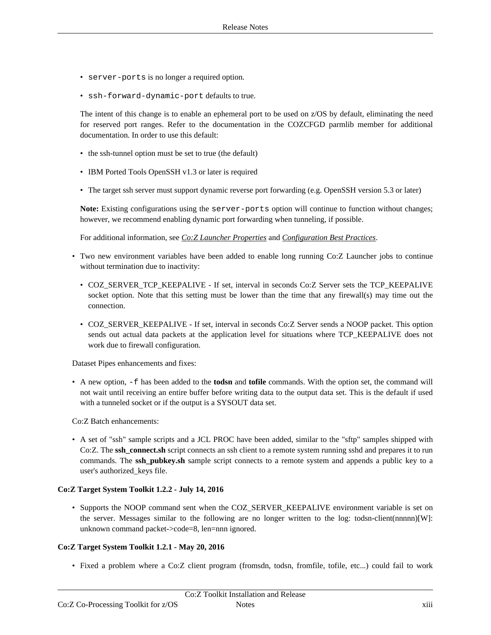- server-ports is no longer a required option.
- ssh-forward-dynamic-port defaults to true.

The intent of this change is to enable an ephemeral port to be used on z/OS by default, eliminating the need for reserved port ranges. Refer to the documentation in the COZCFGD parmlib member for additional documentation. In order to use this default:

- the ssh-tunnel option must be set to true (the default)
- IBM Ported Tools OpenSSH v1.3 or later is required
- The target ssh server must support dynamic reverse port forwarding (e.g. OpenSSH version 5.3 or later)

**Note:** Existing configurations using the server-ports option will continue to function without changes; however, we recommend enabling dynamic port forwarding when tunneling, if possible.

For additional information, see *Co:Z Launcher [Properties](http://coztoolkit.com/docs/coz/config.html#config_launcher)* and *[Configuration](http://coztoolkit.com/docs/coz/config.html#config_best) Best Practices*.

- Two new environment variables have been added to enable long running Co:Z Launcher jobs to continue without termination due to inactivity:
	- COZ\_SERVER\_TCP\_KEEPALIVE If set, interval in seconds Co:Z Server sets the TCP\_KEEPALIVE socket option. Note that this setting must be lower than the time that any firewall(s) may time out the connection.
	- COZ\_SERVER\_KEEPALIVE If set, interval in seconds Co:Z Server sends a NOOP packet. This option sends out actual data packets at the application level for situations where TCP\_KEEPALIVE does not work due to firewall configuration.

Dataset Pipes enhancements and fixes:

• A new option, -f has been added to the **todsn** and **tofile** commands. With the option set, the command will not wait until receiving an entire buffer before writing data to the output data set. This is the default if used with a tunneled socket or if the output is a SYSOUT data set.

Co:Z Batch enhancements:

• A set of "ssh" sample scripts and a JCL PROC have been added, similar to the "sftp" samples shipped with Co:Z. The **ssh\_connect.sh** script connects an ssh client to a remote system running sshd and prepares it to run commands. The **ssh\_pubkey.sh** sample script connects to a remote system and appends a public key to a user's authorized\_keys file.

#### **Co:Z Target System Toolkit 1.2.2 - July 14, 2016**

• Supports the NOOP command sent when the COZ\_SERVER\_KEEPALIVE environment variable is set on the server. Messages similar to the following are no longer written to the log: todsn-client(nnnnn)[W]: unknown command packet->code=8, len=nnn ignored.

#### **Co:Z Target System Toolkit 1.2.1 - May 20, 2016**

• Fixed a problem where a Co:Z client program (fromsdn, todsn, fromfile, tofile, etc...) could fail to work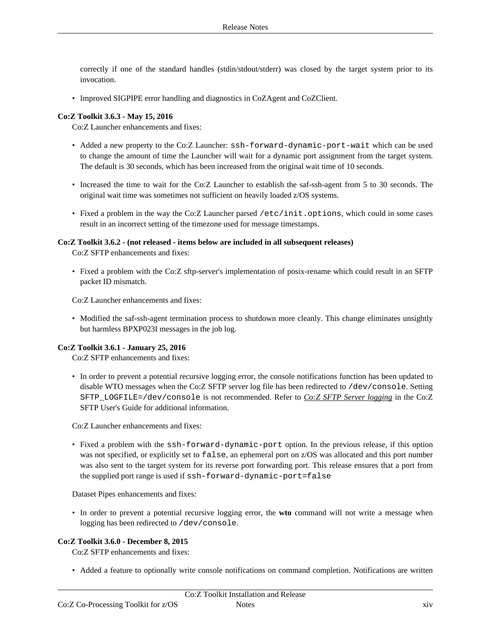correctly if one of the standard handles (stdin/stdout/stderr) was closed by the target system prior to its invocation.

• Improved SIGPIPE error handling and diagnostics in CoZAgent and CoZClient.

#### **Co:Z Toolkit 3.6.3 - May 15, 2016**

Co:Z Launcher enhancements and fixes:

- Added a new property to the Co:Z Launcher: ssh-forward-dynamic-port-wait which can be used to change the amount of time the Launcher will wait for a dynamic port assignment from the target system. The default is 30 seconds, which has been increased from the original wait time of 10 seconds.
- Increased the time to wait for the Co:Z Launcher to establish the saf-ssh-agent from 5 to 30 seconds. The original wait time was sometimes not sufficient on heavily loaded z/OS systems.
- Fixed a problem in the way the Co:Z Launcher parsed /etc/init.options, which could in some cases result in an incorrect setting of the timezone used for message timestamps.

#### **Co:Z Toolkit 3.6.2 - (not released - items below are included in all subsequent releases)**

Co:Z SFTP enhancements and fixes:

• Fixed a problem with the Co:Z sftp-server's implementation of posix-rename which could result in an SFTP packet ID mismatch.

Co:Z Launcher enhancements and fixes:

• Modified the saf-ssh-agent termination process to shutdown more cleanly. This change eliminates unsightly but harmless BPXP023I messages in the job log.

#### **Co:Z Toolkit 3.6.1 - January 25, 2016**

Co:Z SFTP enhancements and fixes:

• In order to prevent a potential recursive logging error, the console notifications function has been updated to disable WTO messages when the Co:Z SFTP server log file has been redirected to /dev/console. Setting SFTP\_LOGFILE=/dev/console is not recommended. Refer to *Co:Z SFTP Server [logging](http://coztoolkit.com/docs/sftp/config.html#config_server_logging)* in the Co:Z SFTP User's Guide for additional information.

Co:Z Launcher enhancements and fixes:

• Fixed a problem with the ssh-forward-dynamic-port option. In the previous release, if this option was not specified, or explicitly set to false, an ephemeral port on z/OS was allocated and this port number was also sent to the target system for its reverse port forwarding port. This release ensures that a port from the supplied port range is used if ssh-forward-dynamic-port=false

Dataset Pipes enhancements and fixes:

• In order to prevent a potential recursive logging error, the **wto** command will not write a message when logging has been redirected to /dev/console.

#### **Co:Z Toolkit 3.6.0 - December 8, 2015**

Co:Z SFTP enhancements and fixes:

• Added a feature to optionally write console notifications on command completion. Notifications are written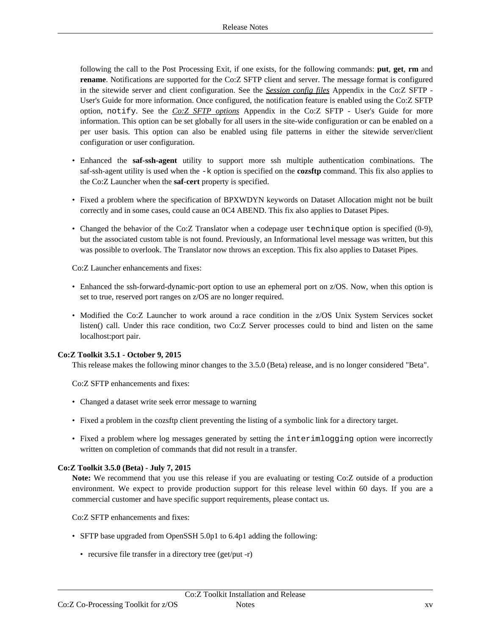following the call to the Post Processing Exit, if one exists, for the following commands: **put**, **get**, **rm** and **rename**. Notifications are supported for the Co:Z SFTP client and server. The message format is configured in the sitewide server and client configuration. See the *Session [config](http://coztoolkit.com/docs/sftp/session-config.html#sftp-config-files_notification) files* Appendix in the Co:Z SFTP - User's Guide for more information. Once configured, the notification feature is enabled using the Co:Z SFTP option, notify. See the *Co:Z SFTP [options](http://coztoolkit.com/docs/sftp/options.html)* Appendix in the Co:Z SFTP - User's Guide for more information. This option can be set globally for all users in the site-wide configuration or can be enabled on a per user basis. This option can also be enabled using file patterns in either the sitewide server/client configuration or user configuration.

- Enhanced the **saf-ssh-agent** utility to support more ssh multiple authentication combinations. The saf-ssh-agent utility is used when the -k option is specified on the **cozsftp** command. This fix also applies to the Co:Z Launcher when the **saf-cert** property is specified.
- Fixed a problem where the specification of BPXWDYN keywords on Dataset Allocation might not be built correctly and in some cases, could cause an 0C4 ABEND. This fix also applies to Dataset Pipes.
- Changed the behavior of the Co:Z Translator when a codepage user technique option is specified (0-9), but the associated custom table is not found. Previously, an Informational level message was written, but this was possible to overlook. The Translator now throws an exception. This fix also applies to Dataset Pipes.

Co:Z Launcher enhancements and fixes:

- Enhanced the ssh-forward-dynamic-port option to use an ephemeral port on z/OS. Now, when this option is set to true, reserved port ranges on z/OS are no longer required.
- Modified the Co:Z Launcher to work around a race condition in the z/OS Unix System Services socket listen() call. Under this race condition, two Co:Z Server processes could to bind and listen on the same localhost:port pair.

#### **Co:Z Toolkit 3.5.1 - October 9, 2015**

This release makes the following minor changes to the 3.5.0 (Beta) release, and is no longer considered "Beta".

Co:Z SFTP enhancements and fixes:

- Changed a dataset write seek error message to warning
- Fixed a problem in the cozsftp client preventing the listing of a symbolic link for a directory target.
- Fixed a problem where log messages generated by setting the interimlogging option were incorrectly written on completion of commands that did not result in a transfer.

#### **Co:Z Toolkit 3.5.0 (Beta) - July 7, 2015**

**Note:** We recommend that you use this release if you are evaluating or testing Co:Z outside of a production environment. We expect to provide production support for this release level within 60 days. If you are a commercial customer and have specific support requirements, please contact us.

Co:Z SFTP enhancements and fixes:

- SFTP base upgraded from OpenSSH 5.0p1 to 6.4p1 adding the following:
	- recursive file transfer in a directory tree (get/put -r)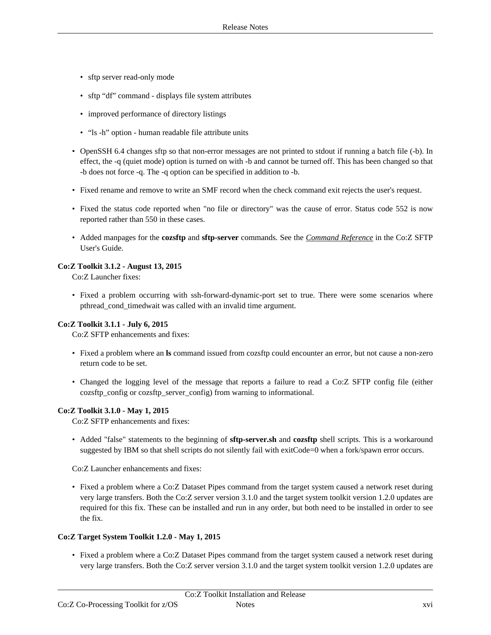- sftp server read-only mode
- sftp "df" command displays file system attributes
- improved performance of directory listings
- "ls -h" option human readable file attribute units
- OpenSSH 6.4 changes sftp so that non-error messages are not printed to stdout if running a batch file (-b). In effect, the -q (quiet mode) option is turned on with -b and cannot be turned off. This has been changed so that -b does not force -q. The -q option can be specified in addition to -b.
- Fixed rename and remove to write an SMF record when the check command exit rejects the user's request.
- Fixed the status code reported when "no file or directory" was the cause of error. Status code 552 is now reported rather than 550 in these cases.
- Added manpages for the **cozsftp** and **sftp-server** commands. See the *Command [Reference](http://coztoolkit.com/docs/sftp/sftp-ref.html)* in the Co:Z SFTP User's Guide.

#### **Co:Z Toolkit 3.1.2 - August 13, 2015**

Co:Z Launcher fixes:

• Fixed a problem occurring with ssh-forward-dynamic-port set to true. There were some scenarios where pthread\_cond\_timedwait was called with an invalid time argument.

#### **Co:Z Toolkit 3.1.1 - July 6, 2015**

Co:Z SFTP enhancements and fixes:

- Fixed a problem where an **ls** command issued from cozsftp could encounter an error, but not cause a non-zero return code to be set.
- Changed the logging level of the message that reports a failure to read a Co:Z SFTP config file (either cozsftp\_config or cozsftp\_server\_config) from warning to informational.

#### **Co:Z Toolkit 3.1.0 - May 1, 2015**

Co:Z SFTP enhancements and fixes:

• Added "false" statements to the beginning of **sftp-server.sh** and **cozsftp** shell scripts. This is a workaround suggested by IBM so that shell scripts do not silently fail with exitCode=0 when a fork/spawn error occurs.

Co:Z Launcher enhancements and fixes:

• Fixed a problem where a Co:Z Dataset Pipes command from the target system caused a network reset during very large transfers. Both the Co:Z server version 3.1.0 and the target system toolkit version 1.2.0 updates are required for this fix. These can be installed and run in any order, but both need to be installed in order to see the fix.

#### **Co:Z Target System Toolkit 1.2.0 - May 1, 2015**

• Fixed a problem where a Co:Z Dataset Pipes command from the target system caused a network reset during very large transfers. Both the Co:Z server version 3.1.0 and the target system toolkit version 1.2.0 updates are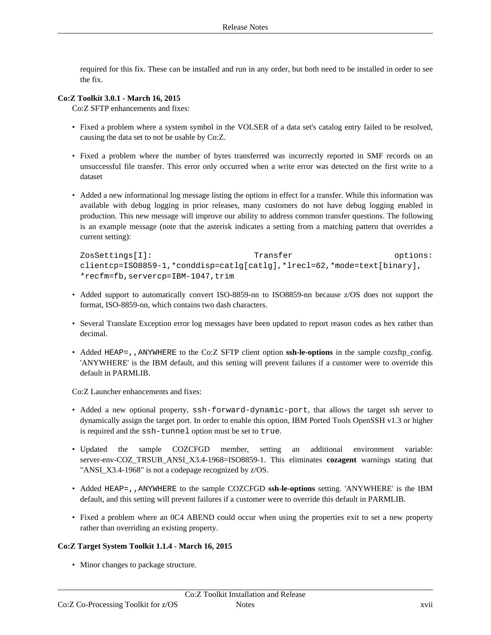required for this fix. These can be installed and run in any order, but both need to be installed in order to see the fix.

#### **Co:Z Toolkit 3.0.1 - March 16, 2015**

Co:Z SFTP enhancements and fixes:

- Fixed a problem where a system symbol in the VOLSER of a data set's catalog entry failed to be resolved, causing the data set to not be usable by Co:Z.
- Fixed a problem where the number of bytes transferred was incorrectly reported in SMF records on an unsuccessful file transfer. This error only occurred when a write error was detected on the first write to a dataset
- Added a new informational log message listing the options in effect for a transfer. While this information was available with debug logging in prior releases, many customers do not have debug logging enabled in production. This new message will improve our ability to address common transfer questions. The following is an example message (note that the asterisk indicates a setting from a matching pattern that overrides a current setting):

```
ZosSettings[I]: Transfer options:
clientcp=ISO8859-1,*conddisp=catlg[catlg],*lrecl=62,*mode=text[binary],
*recfm=fb,servercp=IBM-1047,trim
```
- Added support to automatically convert ISO-8859-nn to ISO8859-nn because z/OS does not support the format, ISO-8859-nn, which contains two dash characters.
- Several Translate Exception error log messages have been updated to report reason codes as hex rather than decimal.
- Added HEAP=,, ANYWHERE to the Co:Z SFTP client option ssh-le-options in the sample cozsftp\_config. 'ANYWHERE' is the IBM default, and this setting will prevent failures if a customer were to override this default in PARMLIB.

Co:Z Launcher enhancements and fixes:

- Added a new optional property, ssh-forward-dynamic-port, that allows the target ssh server to dynamically assign the target port. In order to enable this option, IBM Ported Tools OpenSSH v1.3 or higher is required and the ssh-tunnel option must be set to true.
- Updated the sample COZCFGD member, setting an additional environment variable: server-env-COZ\_TRSUB\_ANSI\_X3.4-1968=ISO8859-1. This eliminates **cozagent** warnings stating that "ANSI\_X3.4-1968" is not a codepage recognized by z/OS.
- Added HEAP=,,ANYWHERE to the sample COZCFGD **ssh-le-options** setting. 'ANYWHERE' is the IBM default, and this setting will prevent failures if a customer were to override this default in PARMLIB.
- Fixed a problem where an 0C4 ABEND could occur when using the properties exit to set a new property rather than overriding an existing property.

#### **Co:Z Target System Toolkit 1.1.4 - March 16, 2015**

• Minor changes to package structure.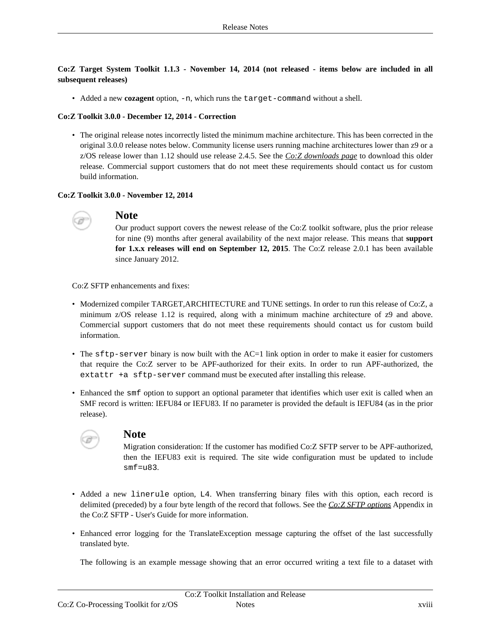**Co:Z Target System Toolkit 1.1.3 - November 14, 2014 (not released - items below are included in all subsequent releases)**

• Added a new **cozagent** option, -n, which runs the target-command without a shell.

#### **Co:Z Toolkit 3.0.0 - December 12, 2014 - Correction**

• The original release notes incorrectly listed the minimum machine architecture. This has been corrected in the original 3.0.0 release notes below. Community license users running machine architectures lower than z9 or a z/OS release lower than 1.12 should use release 2.4.5. See the *Co:Z [downloads](http://coztoolkit.com/downloads/coz/index.html) page* to download this older release. Commercial support customers that do not meet these requirements should contact us for custom build information.

#### **Co:Z Toolkit 3.0.0 - November 12, 2014**



# **Note**

Our product support covers the newest release of the Co:Z toolkit software, plus the prior release for nine (9) months after general availability of the next major release. This means that **support for 1.x.x releases will end on September 12, 2015**. The Co:Z release 2.0.1 has been available since January 2012.

Co:Z SFTP enhancements and fixes:

- Modernized compiler TARGET,ARCHITECTURE and TUNE settings. In order to run this release of Co:Z, a minimum z/OS release 1.12 is required, along with a minimum machine architecture of z9 and above. Commercial support customers that do not meet these requirements should contact us for custom build information.
- The sftp-server binary is now built with the AC=1 link option in order to make it easier for customers that require the Co:Z server to be APF-authorized for their exits. In order to run APF-authorized, the extattr +a sftp-server command must be executed after installing this release.
- Enhanced the smf option to support an optional parameter that identifies which user exit is called when an SMF record is written: IEFU84 or IEFU83. If no parameter is provided the default is IEFU84 (as in the prior release).



## **Note**

Migration consideration: If the customer has modified Co:Z SFTP server to be APF-authorized, then the IEFU83 exit is required. The site wide configuration must be updated to include smf=u83.

- Added a new linerule option, L4. When transferring binary files with this option, each record is delimited (preceded) by a four byte length of the record that follows. See the *Co:Z SFTP [options](http://coztoolkit.com/docs/sftp/options.html)* Appendix in the Co:Z SFTP - User's Guide for more information.
- Enhanced error logging for the TranslateException message capturing the offset of the last successfully translated byte.

The following is an example message showing that an error occurred writing a text file to a dataset with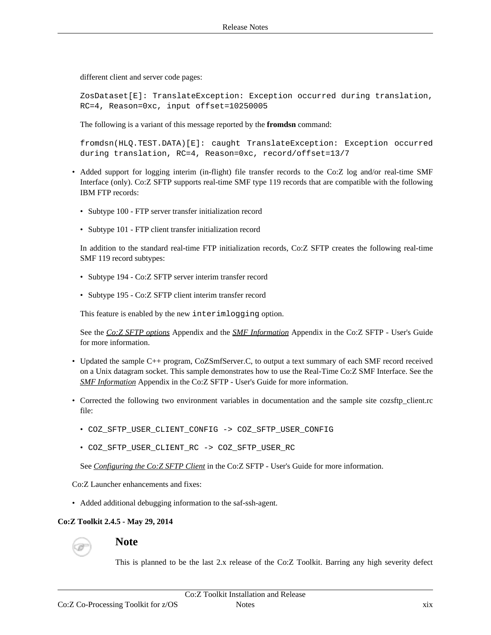different client and server code pages:

ZosDataset[E]: TranslateException: Exception occurred during translation, RC=4, Reason=0xc, input offset=10250005

The following is a variant of this message reported by the **fromdsn** command:

fromdsn(HLQ.TEST.DATA)[E]: caught TranslateException: Exception occurred during translation, RC=4, Reason=0xc, record/offset=13/7

- Added support for logging interim (in-flight) file transfer records to the Co:Z log and/or real-time SMF Interface (only). Co:Z SFTP supports real-time SMF type 119 records that are compatible with the following IBM FTP records:
	- Subtype 100 FTP server transfer initialization record
	- Subtype 101 FTP client transfer initialization record

In addition to the standard real-time FTP initialization records, Co:Z SFTP creates the following real-time SMF 119 record subtypes:

- Subtype 194 Co:Z SFTP server interim transfer record
- Subtype 195 Co:Z SFTP client interim transfer record

This feature is enabled by the new interimlogging option.

See the *Co:Z SFTP [options](http://coztoolkit.com/docs/sftp/options.html)* Appendix and the *SMF [Information](http://coztoolkit.com/docs/sftp/smf-support.html)* Appendix in the Co:Z SFTP - User's Guide for more information.

- Updated the sample C++ program, CoZSmfServer.C, to output a text summary of each SMF record received on a Unix datagram socket. This sample demonstrates how to use the Real-Time Co:Z SMF Interface. See the *SMF [Information](http://coztoolkit.com/docs/sftp/smf-support.html)* Appendix in the Co:Z SFTP - User's Guide for more information.
- Corrected the following two environment variables in documentation and the sample site cozsftp\_client.rc file:
	- COZ\_SFTP\_USER\_CLIENT\_CONFIG -> COZ\_SFTP\_USER\_CONFIG
	- COZ\_SFTP\_USER\_CLIENT\_RC -> COZ\_SFTP\_USER\_RC

See *[Configuring](http://coztoolkit.com/docs/sftp/config.html#config_client) the Co:Z SFTP Client* in the Co:Z SFTP - User's Guide for more information.

Co:Z Launcher enhancements and fixes:

• Added additional debugging information to the saf-ssh-agent.

#### **Co:Z Toolkit 2.4.5 - May 29, 2014**



# **Note**

This is planned to be the last 2.x release of the Co:Z Toolkit. Barring any high severity defect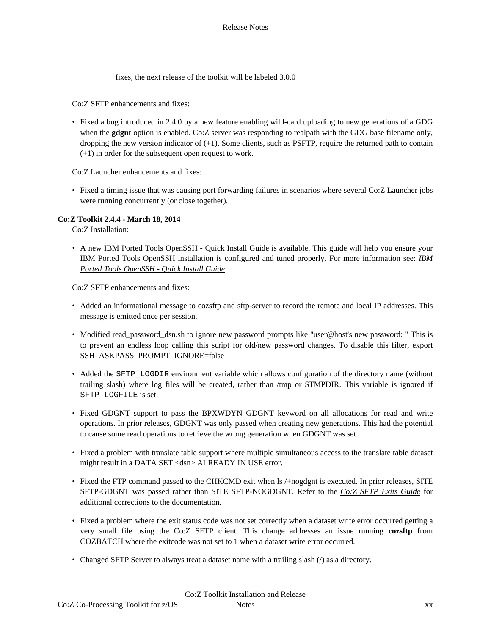fixes, the next release of the toolkit will be labeled 3.0.0

Co:Z SFTP enhancements and fixes:

• Fixed a bug introduced in 2.4.0 by a new feature enabling wild-card uploading to new generations of a GDG when the **gdgnt** option is enabled. Co:Z server was responding to realpath with the GDG base filename only, dropping the new version indicator of (+1). Some clients, such as PSFTP, require the returned path to contain (+1) in order for the subsequent open request to work.

Co:Z Launcher enhancements and fixes:

• Fixed a timing issue that was causing port forwarding failures in scenarios where several Co:Z Launcher jobs were running concurrently (or close together).

#### **Co:Z Toolkit 2.4.4 - March 18, 2014**

Co:Z Installation:

• A new IBM Ported Tools OpenSSH - Quick Install Guide is available. This guide will help you ensure your IBM Ported Tools OpenSSH installation is configured and tuned properly. For more information see: *IB[M](http://coztoolkit.com/docs/pt-quick-inst/index.html) Ported Tools [OpenSSH](http://coztoolkit.com/docs/pt-quick-inst/index.html) - Quick Install Guide*.

Co:Z SFTP enhancements and fixes:

- Added an informational message to cozsftp and sftp-server to record the remote and local IP addresses. This message is emitted once per session.
- Modified read\_password\_dsn.sh to ignore new password prompts like "user@host's new password: " This is to prevent an endless loop calling this script for old/new password changes. To disable this filter, export SSH\_ASKPASS\_PROMPT\_IGNORE=false
- Added the SFTP\_LOGDIR environment variable which allows configuration of the directory name (without trailing slash) where log files will be created, rather than /tmp or \$TMPDIR. This variable is ignored if SFTP\_LOGFILE is set.
- Fixed GDGNT support to pass the BPXWDYN GDGNT keyword on all allocations for read and write operations. In prior releases, GDGNT was only passed when creating new generations. This had the potential to cause some read operations to retrieve the wrong generation when GDGNT was set.
- Fixed a problem with translate table support where multiple simultaneous access to the translate table dataset might result in a DATA SET <dsn> ALREADY IN USE error.
- Fixed the FTP command passed to the CHKCMD exit when ls /+nogdgnt is executed. In prior releases, SITE SFTP-GDGNT was passed rather than SITE SFTP-NOGDGNT. Refer to the *Co:Z SFTP Exits [Guide](#page-0-0)* for additional corrections to the documentation.
- Fixed a problem where the exit status code was not set correctly when a dataset write error occurred getting a very small file using the Co:Z SFTP client. This change addresses an issue running **cozsftp** from COZBATCH where the exitcode was not set to 1 when a dataset write error occurred.
- Changed SFTP Server to always treat a dataset name with a trailing slash (/) as a directory.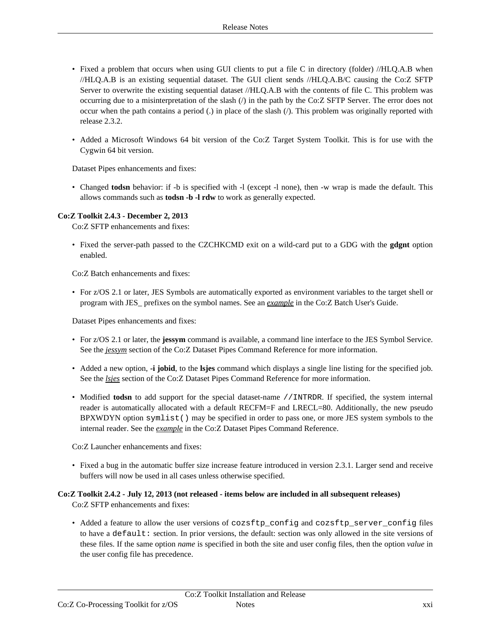- Fixed a problem that occurs when using GUI clients to put a file C in directory (folder) //HLQ.A.B when //HLQ.A.B is an existing sequential dataset. The GUI client sends //HLQ.A.B/C causing the Co:Z SFTP Server to overwrite the existing sequential dataset //HLQ.A.B with the contents of file C. This problem was occurring due to a misinterpretation of the slash (/) in the path by the Co:Z SFTP Server. The error does not occur when the path contains a period (.) in place of the slash (/). This problem was originally reported with release 2.3.2.
- Added a Microsoft Windows 64 bit version of the Co:Z Target System Toolkit. This is for use with the Cygwin 64 bit version.

Dataset Pipes enhancements and fixes:

• Changed **todsn** behavior: if -b is specified with -l (except -l none), then -w wrap is made the default. This allows commands such as **todsn -b -l rdw** to work as generally expected.

#### **Co:Z Toolkit 2.4.3 - December 2, 2013**

Co:Z SFTP enhancements and fixes:

• Fixed the server-path passed to the CZCHKCMD exit on a wild-card put to a GDG with the **gdgnt** option enabled.

Co:Z Batch enhancements and fixes:

• For z/OS 2.1 or later, JES Symbols are automatically exported as environment variables to the target shell or program with JES\_ prefixes on the symbol names. See an *[example](http://coztoolkit.com/docs/cozbatch/examples.html#example-jessym)* in the Co:Z Batch User's Guide.

Dataset Pipes enhancements and fixes:

- For z/OS 2.1 or later, the **jessym** command is available, a command line interface to the JES Symbol Service. See the *[jessym](http://coztoolkit.com/docs/dspipes/dsp-ref_jessym.html)* section of the Co:Z Dataset Pipes Command Reference for more information.
- Added a new option, **-i jobid**, to the **lsjes** command which displays a single line listing for the specified job. See the *[lsjes](http://coztoolkit.com/docs/dspipes/dsp-ref_lsjes.html)* section of the Co:Z Dataset Pipes Command Reference for more information.
- Modified **todsn** to add support for the special dataset-name //INTRDR. If specified, the system internal reader is automatically allocated with a default RECFM=F and LRECL=80. Additionally, the new pseudo BPXWDYN option symlist() may be specified in order to pass one, or more JES system symbols to the internal reader. See the *[example](http://coztoolkit.com/docs/dspipes/dsp-ref_todsn.html#todsn-intrdr-symlist-example)* in the Co:Z Dataset Pipes Command Reference.

Co:Z Launcher enhancements and fixes:

• Fixed a bug in the automatic buffer size increase feature introduced in version 2.3.1. Larger send and receive buffers will now be used in all cases unless otherwise specified.

## **Co:Z Toolkit 2.4.2 - July 12, 2013 (not released - items below are included in all subsequent releases)**

Co:Z SFTP enhancements and fixes:

• Added a feature to allow the user versions of cozsftp\_config and cozsftp\_server\_config files to have a default: section. In prior versions, the default: section was only allowed in the site versions of these files. If the same option *name* is specified in both the site and user config files, then the option *value* in the user config file has precedence.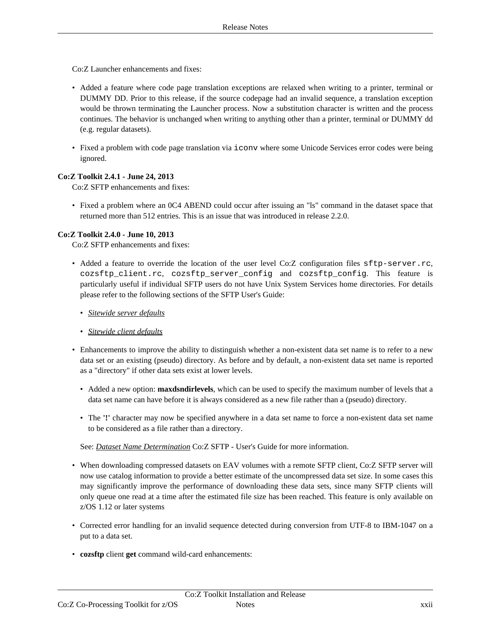Co:Z Launcher enhancements and fixes:

- Added a feature where code page translation exceptions are relaxed when writing to a printer, terminal or DUMMY DD. Prior to this release, if the source codepage had an invalid sequence, a translation exception would be thrown terminating the Launcher process. Now a substitution character is written and the process continues. The behavior is unchanged when writing to anything other than a printer, terminal or DUMMY dd (e.g. regular datasets).
- Fixed a problem with code page translation via iconv where some Unicode Services error codes were being ignored.

#### **Co:Z Toolkit 2.4.1 - June 24, 2013**

Co:Z SFTP enhancements and fixes:

• Fixed a problem where an 0C4 ABEND could occur after issuing an "ls" command in the dataset space that returned more than 512 entries. This is an issue that was introduced in release 2.2.0.

#### **Co:Z Toolkit 2.4.0 - June 10, 2013**

Co:Z SFTP enhancements and fixes:

- Added a feature to override the location of the user level Co:Z configuration files sftp-server.rc, cozsftp\_client.rc, cozsftp\_server\_config and cozsftp\_config. This feature is particularly useful if individual SFTP users do not have Unix System Services home directories. For details please refer to the following sections of the SFTP User's Guide:
	- *[Sitewide](http://coztoolkit.com/docs/sftp/config.html#config_server_rc_all) server defaults*
	- *[Sitewide](http://coztoolkit.com/docs/sftp/config.html#config_client_rc_all) client defaults*
- Enhancements to improve the ability to distinguish whether a non-existent data set name is to refer to a new data set or an existing (pseudo) directory. As before and by default, a non-existent data set name is reported as a "directory" if other data sets exist at lower levels.
	- Added a new option: **maxdsndirlevels**, which can be used to specify the maximum number of levels that a data set name can have before it is always considered as a new file rather than a (pseudo) directory.
	- The **'!'** character may now be specified anywhere in a data set name to force a non-existent data set name to be considered as a file rather than a directory.

See: *Dataset Name [Determination](http://coztoolkit.com/docs/sftp/dsn-determination.html)* Co:Z SFTP - User's Guide for more information.

- When downloading compressed datasets on EAV volumes with a remote SFTP client, Co:Z SFTP server will now use catalog information to provide a better estimate of the uncompressed data set size. In some cases this may significantly improve the performance of downloading these data sets, since many SFTP clients will only queue one read at a time after the estimated file size has been reached. This feature is only available on z/OS 1.12 or later systems
- Corrected error handling for an invalid sequence detected during conversion from UTF-8 to IBM-1047 on a put to a data set.
- **cozsftp** client **get** command wild-card enhancements: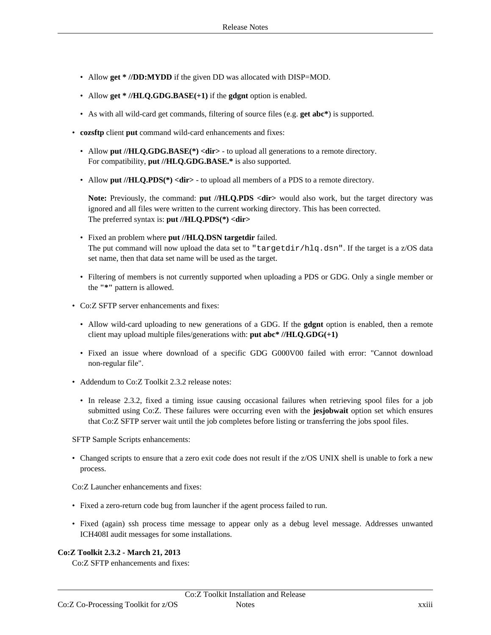- Allow **get \* //DD:MYDD** if the given DD was allocated with DISP=MOD.
- Allow **get \* //HLQ.GDG.BASE(+1)** if the **gdgnt** option is enabled.
- As with all wild-card get commands, filtering of source files (e.g. **get abc\***) is supported.
- **cozsftp** client **put** command wild-card enhancements and fixes:
	- Allow put //**HLQ.GDG.BASE**(\*) <dir> to upload all generations to a remote directory. For compatibility, **put //HLQ.GDG.BASE.\*** is also supported.
	- Allow put //HLQ.PDS(\*) <dir> to upload all members of a PDS to a remote directory.

**Note:** Previously, the command: **put //HLQ.PDS <dir>** would also work, but the target directory was ignored and all files were written to the current working directory. This has been corrected. The preferred syntax is: **put //HLQ.PDS(\*) <dir>**

- Fixed an problem where **put //HLQ.DSN targetdir** failed. The put command will now upload the data set to "targetdir/hlq.dsn". If the target is a  $z/OS$  data set name, then that data set name will be used as the target.
- Filtering of members is not currently supported when uploading a PDS or GDG. Only a single member or the **"\*"** pattern is allowed.
- Co:Z SFTP server enhancements and fixes:
	- Allow wild-card uploading to new generations of a GDG. If the **gdgnt** option is enabled, then a remote client may upload multiple files/generations with: **put abc\* //HLQ.GDG(+1)**
	- Fixed an issue where download of a specific GDG G000V00 failed with error: "Cannot download non-regular file".
- Addendum to Co:Z Toolkit 2.3.2 release notes:
	- In release 2.3.2, fixed a timing issue causing occasional failures when retrieving spool files for a job submitted using Co:Z. These failures were occurring even with the **jesjobwait** option set which ensures that Co:Z SFTP server wait until the job completes before listing or transferring the jobs spool files.

SFTP Sample Scripts enhancements:

• Changed scripts to ensure that a zero exit code does not result if the z/OS UNIX shell is unable to fork a new process.

Co:Z Launcher enhancements and fixes:

- Fixed a zero-return code bug from launcher if the agent process failed to run.
- Fixed (again) ssh process time message to appear only as a debug level message. Addresses unwanted ICH408I audit messages for some installations.

## **Co:Z Toolkit 2.3.2 - March 21, 2013**

Co:Z SFTP enhancements and fixes: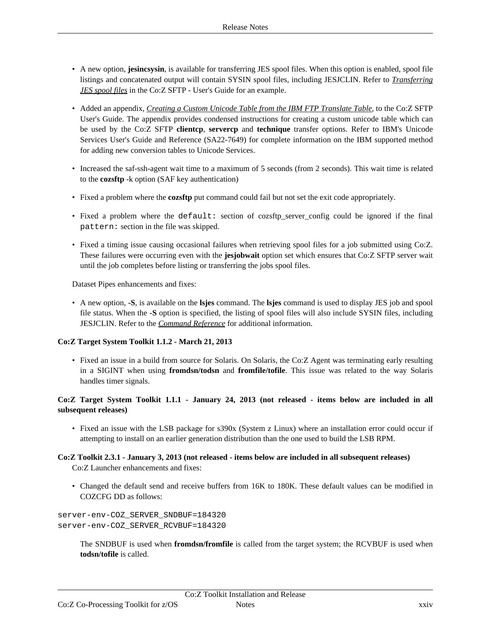- A new option, **jesincsysin**, is available for transferring JES spool files. When this option is enabled, spool file listings and concatenated output will contain SYSIN spool files, including JESJCLIN. Refer to *T[ransferring](http://coztoolkit.com/docs/sftp/using.html#server_jes_output) JES [spool](http://coztoolkit.com/docs/sftp/using.html#server_jes_output) files* in the Co:Z SFTP - User's Guide for an example.
- Added an appendix, *Creating a Custom Unicode Table from the IBM FTP [Translate](http://coztoolkit.com/docs/sftp/custom-unicode-tables.html) Table*, to the Co:Z SFTP User's Guide. The appendix provides condensed instructions for creating a custom unicode table which can be used by the Co:Z SFTP **clientcp**, **servercp** and **technique** transfer options. Refer to IBM's Unicode Services User's Guide and Reference (SA22-7649) for complete information on the IBM supported method for adding new conversion tables to Unicode Services.
- Increased the saf-ssh-agent wait time to a maximum of 5 seconds (from 2 seconds). This wait time is related to the **cozsftp** -k option (SAF key authentication)
- Fixed a problem where the **cozsftp** put command could fail but not set the exit code appropriately.
- Fixed a problem where the default: section of cozsftp\_server\_config could be ignored if the final pattern: section in the file was skipped.
- Fixed a timing issue causing occasional failures when retrieving spool files for a job submitted using Co:Z. These failures were occurring even with the **jesjobwait** option set which ensures that Co:Z SFTP server wait until the job completes before listing or transferring the jobs spool files.

Dataset Pipes enhancements and fixes:

• A new option, **-S**, is available on the **lsjes** command. The **lsjes** command is used to display JES job and spool file status. When the **-S** option is specified, the listing of spool files will also include SYSIN files, including JESJCLIN. Refer to the *[Command](http://coztoolkit.com/docs/dspipes/dsp-ref_lsjes.html) Reference* for additional information.

## **Co:Z Target System Toolkit 1.1.2 - March 21, 2013**

• Fixed an issue in a build from source for Solaris. On Solaris, the Co:Z Agent was terminating early resulting in a SIGINT when using **fromdsn/todsn** and **fromfile/tofile**. This issue was related to the way Solaris handles timer signals.

## **Co:Z Target System Toolkit 1.1.1 - January 24, 2013 (not released - items below are included in all subsequent releases)**

• Fixed an issue with the LSB package for s390x (System z Linux) where an installation error could occur if attempting to install on an earlier generation distribution than the one used to build the LSB RPM.

# **Co:Z Toolkit 2.3.1 - January 3, 2013 (not released - items below are included in all subsequent releases)**

Co:Z Launcher enhancements and fixes:

• Changed the default send and receive buffers from 16K to 180K. These default values can be modified in COZCFG DD as follows:

```
server-env-COZ_SERVER_SNDBUF=184320
server-env-COZ_SERVER_RCVBUF=184320
```
The SNDBUF is used when **fromdsn/fromfile** is called from the target system; the RCVBUF is used when **todsn/tofile** is called.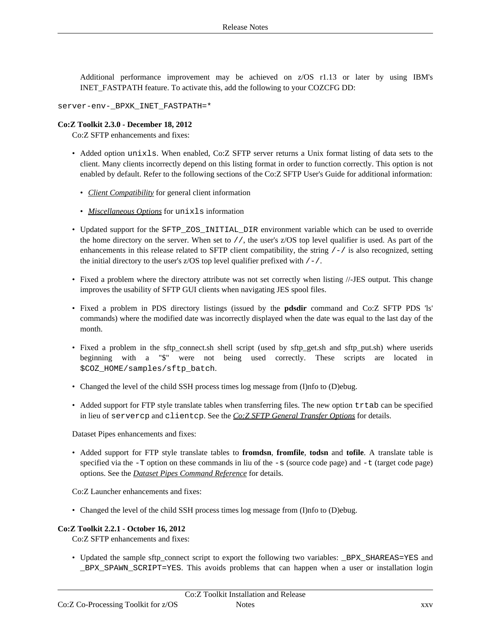Additional performance improvement may be achieved on z/OS r1.13 or later by using IBM's INET\_FASTPATH feature. To activate this, add the following to your COZCFG DD:

server-env-\_BPXK\_INET\_FASTPATH=\*

#### **Co:Z Toolkit 2.3.0 - December 18, 2012**

Co:Z SFTP enhancements and fixes:

- Added option unixls. When enabled, Co:Z SFTP server returns a Unix format listing of data sets to the client. Many clients incorrectly depend on this listing format in order to function correctly. This option is not enabled by default. Refer to the following sections of the Co:Z SFTP User's Guide for additional information:
	- *Client [Compatibility](http://coztoolkit.com/docs/sftp/client-compat.html)* for general client information
	- *[Miscellaneous](http://coztoolkit.com/docs/sftp/options.html#options_misc) Options* for unixls information
- Updated support for the SFTP\_ZOS\_INITIAL\_DIR environment variable which can be used to override the home directory on the server. When set to //, the user's z/OS top level qualifier is used. As part of the enhancements in this release related to SFTP client compatibility, the string  $/-/$  is also recognized, setting the initial directory to the user's  $z/OS$  top level qualifier prefixed with  $/-/$ .
- Fixed a problem where the directory attribute was not set correctly when listing //-JES output. This change improves the usability of SFTP GUI clients when navigating JES spool files.
- Fixed a problem in PDS directory listings (issued by the **pdsdir** command and Co:Z SFTP PDS 'ls' commands) where the modified date was incorrectly displayed when the date was equal to the last day of the month.
- Fixed a problem in the sftp\_connect.sh shell script (used by sftp\_get.sh and sftp\_put.sh) where userids beginning with a "\$" were not being used correctly. These scripts are located in \$COZ\_HOME/samples/sftp\_batch.
- Changed the level of the child SSH process times log message from (I)nfo to (D)ebug.
- Added support for FTP style translate tables when transferring files. The new option trtab can be specified in lieu of servercp and clientcp. See the *Co:Z SFTP General [Transfer](http://coztoolkit.com/docs/sftp/options.html#options_general) Options* for details.

Dataset Pipes enhancements and fixes:

• Added support for FTP style translate tables to **fromdsn**, **fromfile**, **todsn** and **tofile**. A translate table is specified via the  $-T$  option on these commands in liu of the  $-s$  (source code page) and  $-t$  (target code page) options. See the *Dataset Pipes [Command](http://coztoolkit.com/docs/dspipes/dsp-ref.html) Reference* for details.

Co:Z Launcher enhancements and fixes:

• Changed the level of the child SSH process times log message from (I)nfo to (D)ebug.

#### **Co:Z Toolkit 2.2.1 - October 16, 2012**

Co:Z SFTP enhancements and fixes:

• Updated the sample sftp\_connect script to export the following two variables: \_BPX\_SHAREAS=YES and \_BPX\_SPAWN\_SCRIPT=YES. This avoids problems that can happen when a user or installation login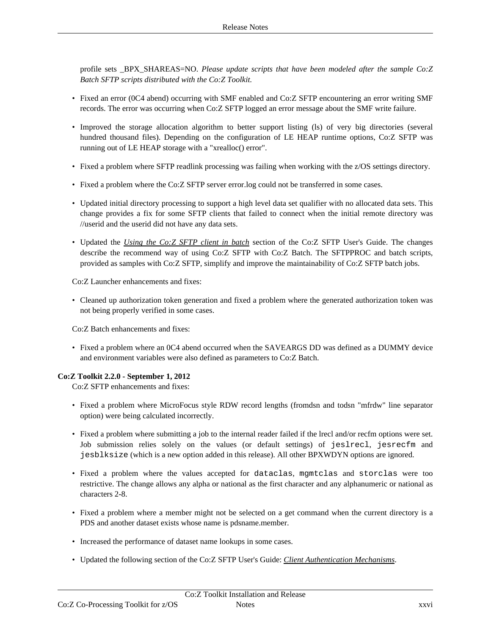profile sets \_BPX\_SHAREAS=NO. *Please update scripts that have been modeled after the sample Co:Z Batch SFTP scripts distributed with the Co:Z Toolkit.*

- Fixed an error (0C4 abend) occurring with SMF enabled and Co:Z SFTP encountering an error writing SMF records. The error was occurring when Co:Z SFTP logged an error message about the SMF write failure.
- Improved the storage allocation algorithm to better support listing (ls) of very big directories (several hundred thousand files). Depending on the configuration of LE HEAP runtime options, Co:Z SFTP was running out of LE HEAP storage with a "xrealloc() error".
- Fixed a problem where SFTP readlink processing was failing when working with the z/OS settings directory.
- Fixed a problem where the Co:Z SFTP server error.log could not be transferred in some cases.
- Updated initial directory processing to support a high level data set qualifier with no allocated data sets. This change provides a fix for some SFTP clients that failed to connect when the initial remote directory was //userid and the userid did not have any data sets.
- Updated the *Using the Co:Z [SFTP](http://www.coztoolkit.com/docs/sftp/client.html#client-batch) client in batch* section of the Co:Z SFTP User's Guide. The changes describe the recommend way of using Co:Z SFTP with Co:Z Batch. The SFTPPROC and batch scripts, provided as samples with Co:Z SFTP, simplify and improve the maintainability of Co:Z SFTP batch jobs.

Co:Z Launcher enhancements and fixes:

• Cleaned up authorization token generation and fixed a problem where the generated authorization token was not being properly verified in some cases.

Co:Z Batch enhancements and fixes:

• Fixed a problem where an 0C4 abend occurred when the SAVEARGS DD was defined as a DUMMY device and environment variables were also defined as parameters to Co:Z Batch.

## **Co:Z Toolkit 2.2.0 - September 1, 2012**

Co:Z SFTP enhancements and fixes:

- Fixed a problem where MicroFocus style RDW record lengths (fromdsn and todsn "mfrdw" line separator option) were being calculated incorrectly.
- Fixed a problem where submitting a job to the internal reader failed if the lrecl and/or recfm options were set. Job submission relies solely on the values (or default settings) of jeslrecl, jesrecfm and jesblksize (which is a new option added in this release). All other BPXWDYN options are ignored.
- Fixed a problem where the values accepted for dataclas, mgmtclas and storclas were too restrictive. The change allows any alpha or national as the first character and any alphanumeric or national as characters 2-8.
- Fixed a problem where a member might not be selected on a get command when the current directory is a PDS and another dataset exists whose name is pdsname.member.
- Increased the performance of dataset name lookups in some cases.
- Updated the following section of the Co:Z SFTP User's Guide: *Client [Authentication](http://www.coztoolkit.com/docs/sftp/auth.html) Mechanisms*.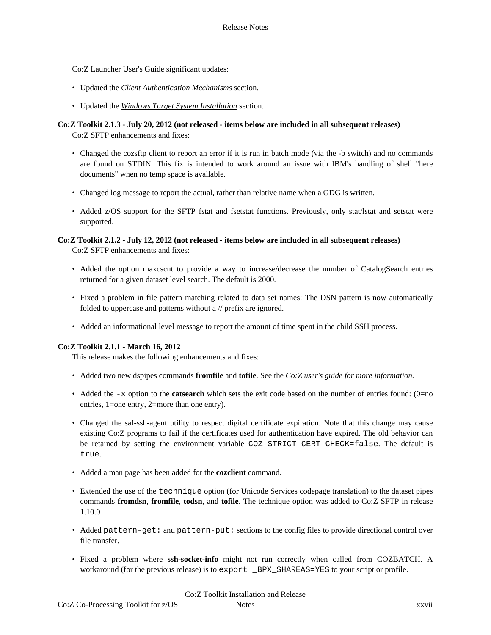Co:Z Launcher User's Guide significant updates:

- Updated the *Client [Authentication](http://www.coztoolkit.com/docs/sftp/auth.html) Mechanisms* section.
- Updated the *Windows Target System [Installation](http://www.coztoolkit.com/docs/coz/install.html#install_win)* section.

#### **Co:Z Toolkit 2.1.3 - July 20, 2012 (not released - items below are included in all subsequent releases)** Co:Z SFTP enhancements and fixes:

- Changed the cozsftp client to report an error if it is run in batch mode (via the -b switch) and no commands are found on STDIN. This fix is intended to work around an issue with IBM's handling of shell "here documents" when no temp space is available.
- Changed log message to report the actual, rather than relative name when a GDG is written.
- Added z/OS support for the SFTP fstat and fsetstat functions. Previously, only stat/lstat and setstat were supported.

# **Co:Z Toolkit 2.1.2 - July 12, 2012 (not released - items below are included in all subsequent releases)**

Co:Z SFTP enhancements and fixes:

- Added the option maxcscnt to provide a way to increase/decrease the number of CatalogSearch entries returned for a given dataset level search. The default is 2000.
- Fixed a problem in file pattern matching related to data set names: The DSN pattern is now automatically folded to uppercase and patterns without a // prefix are ignored.
- Added an informational level message to report the amount of time spent in the child SSH process.

## **Co:Z Toolkit 2.1.1 - March 16, 2012**

This release makes the following enhancements and fixes:

- Added two new dspipes commands **fromfile** and **tofile**. See the *Co:Z user's guide for more [information.](http://coztoolkit.com/docs/dspipes/dsp-ref.html)*
- Added the  $-x$  option to the **catsearch** which sets the exit code based on the number of entries found: (0=no entries, 1=one entry, 2=more than one entry).
- Changed the saf-ssh-agent utility to respect digital certificate expiration. Note that this change may cause existing Co:Z programs to fail if the certificates used for authentication have expired. The old behavior can be retained by setting the environment variable COZ\_STRICT\_CERT\_CHECK=false. The default is true.
- Added a man page has been added for the **cozclient** command.
- Extended the use of the technique option (for Unicode Services codepage translation) to the dataset pipes commands **fromdsn**, **fromfile**, **todsn**, and **tofile**. The technique option was added to Co:Z SFTP in release 1.10.0
- Added pattern-get: and pattern-put: sections to the config files to provide directional control over file transfer.
- Fixed a problem where **ssh-socket-info** might not run correctly when called from COZBATCH. A workaround (for the previous release) is to export \_BPX\_SHAREAS=YES to your script or profile.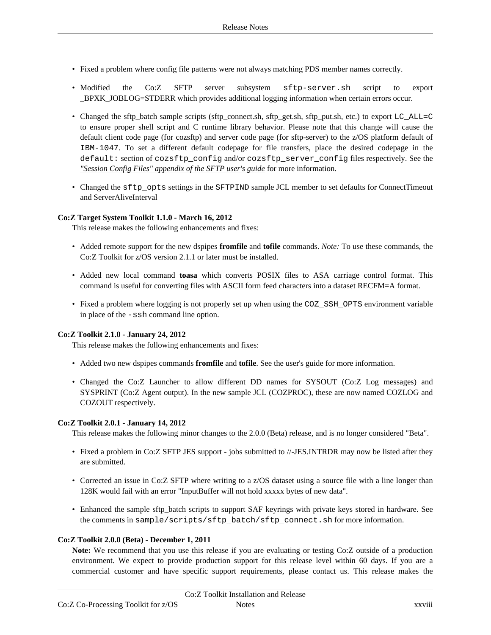- Fixed a problem where config file patterns were not always matching PDS member names correctly.
- Modified the Co:Z SFTP server subsystem sftp-server.sh script to export \_BPXK\_JOBLOG=STDERR which provides additional logging information when certain errors occur.
- Changed the sftp\_batch sample scripts (sftp\_connect.sh, sftp\_get.sh, sftp\_put.sh, etc.) to export LC\_ALL=C to ensure proper shell script and C runtime library behavior. Please note that this change will cause the default client code page (for cozsftp) and server code page (for sftp-server) to the z/OS platform default of IBM-1047. To set a different default codepage for file transfers, place the desired codepage in the default: section of cozsftp\_config and/or cozsftp\_server\_config files respectively. See the *"Session Config Files" [appendix](http://coztoolkit.com/docs/sftp/session-config.html#sftp-config-files_default) of the SFTP user's guide* for more information.
- Changed the sftp\_opts settings in the SFTPIND sample JCL member to set defaults for ConnectTimeout and ServerAliveInterval

#### **Co:Z Target System Toolkit 1.1.0 - March 16, 2012**

This release makes the following enhancements and fixes:

- Added remote support for the new dspipes **fromfile** and **tofile** commands. *Note:* To use these commands, the Co:Z Toolkit for z/OS version 2.1.1 or later must be installed.
- Added new local command **toasa** which converts POSIX files to ASA carriage control format. This command is useful for converting files with ASCII form feed characters into a dataset RECFM=A format.
- Fixed a problem where logging is not properly set up when using the COZ\_SSH\_OPTS environment variable in place of the -ssh command line option.

#### **Co:Z Toolkit 2.1.0 - January 24, 2012**

This release makes the following enhancements and fixes:

- Added two new dspipes commands **fromfile** and **tofile**. See the user's guide for more information.
- Changed the Co:Z Launcher to allow different DD names for SYSOUT (Co:Z Log messages) and SYSPRINT (Co:Z Agent output). In the new sample JCL (COZPROC), these are now named COZLOG and COZOUT respectively.

#### **Co:Z Toolkit 2.0.1 - January 14, 2012**

This release makes the following minor changes to the 2.0.0 (Beta) release, and is no longer considered "Beta".

- Fixed a problem in Co:Z SFTP JES support jobs submitted to //-JES.INTRDR may now be listed after they are submitted.
- Corrected an issue in Co:Z SFTP where writing to a z/OS dataset using a source file with a line longer than 128K would fail with an error "InputBuffer will not hold xxxxx bytes of new data".
- Enhanced the sample sftp\_batch scripts to support SAF keyrings with private keys stored in hardware. See the comments in sample/scripts/sftp\_batch/sftp\_connect.sh for more information.

#### **Co:Z Toolkit 2.0.0 (Beta) - December 1, 2011**

**Note:** We recommend that you use this release if you are evaluating or testing Co:Z outside of a production environment. We expect to provide production support for this release level within 60 days. If you are a commercial customer and have specific support requirements, please contact us. This release makes the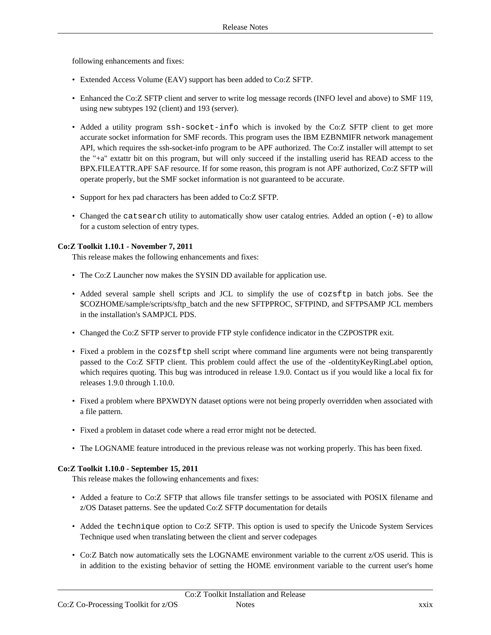following enhancements and fixes:

- Extended Access Volume (EAV) support has been added to Co:Z SFTP.
- Enhanced the Co:Z SFTP client and server to write log message records (INFO level and above) to SMF 119, using new subtypes 192 (client) and 193 (server).
- Added a utility program ssh-socket-info which is invoked by the Co:Z SFTP client to get more accurate socket information for SMF records. This program uses the IBM EZBNMIFR network management API, which requires the ssh-socket-info program to be APF authorized. The Co:Z installer will attempt to set the "+a" extattr bit on this program, but will only succeed if the installing userid has READ access to the BPX.FILEATTR.APF SAF resource. If for some reason, this program is not APF authorized, Co:Z SFTP will operate properly, but the SMF socket information is not guaranteed to be accurate.
- Support for hex pad characters has been added to Co:Z SFTP.
- Changed the catsearch utility to automatically show user catalog entries. Added an option (-e) to allow for a custom selection of entry types.

#### **Co:Z Toolkit 1.10.1 - November 7, 2011**

This release makes the following enhancements and fixes:

- The Co:Z Launcher now makes the SYSIN DD available for application use.
- Added several sample shell scripts and JCL to simplify the use of cozsftt in batch jobs. See the \$COZHOME/sample/scripts/sftp\_batch and the new SFTPPROC, SFTPIND, and SFTPSAMP JCL members in the installation's SAMPJCL PDS.
- Changed the Co:Z SFTP server to provide FTP style confidence indicator in the CZPOSTPR exit.
- Fixed a problem in the cozsftp shell script where command line arguments were not being transparently passed to the Co:Z SFTP client. This problem could affect the use of the -oIdentityKeyRingLabel option, which requires quoting. This bug was introduced in release 1.9.0. Contact us if you would like a local fix for releases 1.9.0 through 1.10.0.
- Fixed a problem where BPXWDYN dataset options were not being properly overridden when associated with a file pattern.
- Fixed a problem in dataset code where a read error might not be detected.
- The LOGNAME feature introduced in the previous release was not working properly. This has been fixed.

#### **Co:Z Toolkit 1.10.0 - September 15, 2011**

This release makes the following enhancements and fixes:

- Added a feature to Co:Z SFTP that allows file transfer settings to be associated with POSIX filename and z/OS Dataset patterns. See the updated Co:Z SFTP documentation for details
- Added the technique option to Co:Z SFTP. This option is used to specify the Unicode System Services Technique used when translating between the client and server codepages
- Co:Z Batch now automatically sets the LOGNAME environment variable to the current z/OS userid. This is in addition to the existing behavior of setting the HOME environment variable to the current user's home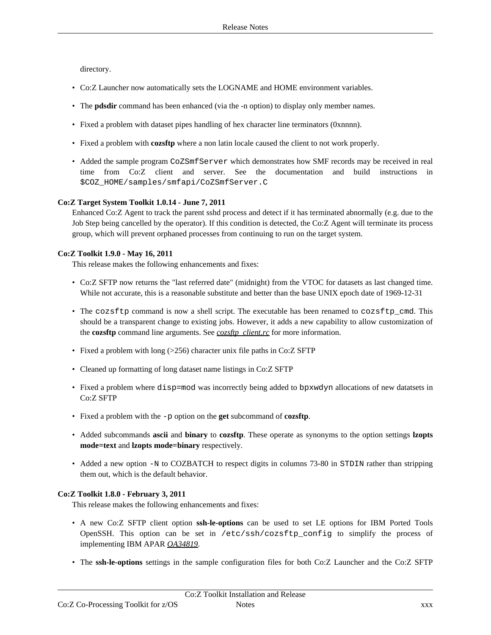directory.

- Co:Z Launcher now automatically sets the LOGNAME and HOME environment variables.
- The **pdsdir** command has been enhanced (via the -n option) to display only member names.
- Fixed a problem with dataset pipes handling of hex character line terminators (0xnnnn).
- Fixed a problem with **cozsftp** where a non latin locale caused the client to not work properly.
- Added the sample program CoZSmfServer which demonstrates how SMF records may be received in real time from Co:Z client and server. See the documentation and build instructions in \$COZ\_HOME/samples/smfapi/CoZSmfServer.C

#### **Co:Z Target System Toolkit 1.0.14 - June 7, 2011**

Enhanced Co:Z Agent to track the parent sshd process and detect if it has terminated abnormally (e.g. due to the Job Step being cancelled by the operator). If this condition is detected, the Co:Z Agent will terminate its process group, which will prevent orphaned processes from continuing to run on the target system.

#### **Co:Z Toolkit 1.9.0 - May 16, 2011**

This release makes the following enhancements and fixes:

- Co:Z SFTP now returns the "last referred date" (midnight) from the VTOC for datasets as last changed time. While not accurate, this is a reasonable substitute and better than the base UNIX epoch date of 1969-12-31
- The cozsftp command is now a shell script. The executable has been renamed to cozsftp\_cmd. This should be a transparent change to existing jobs. However, it adds a new capability to allow customization of the **cozsftp** command line arguments. See *[cozsftp\\_client.rc](http://coztoolkit.com/docs/sftp/config.html#config_client_cozsftp_client.rc)* for more information.
- Fixed a problem with long (>256) character unix file paths in Co:Z SFTP
- Cleaned up formatting of long dataset name listings in Co:Z SFTP
- Fixed a problem where disp=mod was incorrectly being added to bpxwdyn allocations of new datatsets in Co:Z SFTP
- Fixed a problem with the -p option on the **get** subcommand of **cozsftp**.
- Added subcommands **ascii** and **binary** to **cozsftp**. These operate as synonyms to the option settings **lzopts mode=text** and **lzopts mode=binary** respectively.
- Added a new option -N to COZBATCH to respect digits in columns 73-80 in STDIN rather than stripping them out, which is the default behavior.

## **Co:Z Toolkit 1.8.0 - February 3, 2011**

This release makes the following enhancements and fixes:

- A new Co:Z SFTP client option **ssh-le-options** can be used to set LE options for IBM Ported Tools OpenSSH. This option can be set in /etc/ssh/cozsftp\_config to simplify the process of implementing IBM APAR *[OA34819](http://www-01.ibm.com/support/docview.wss?uid=isg1OA34819)*.
- The **ssh-le-options** settings in the sample configuration files for both Co:Z Launcher and the Co:Z SFTP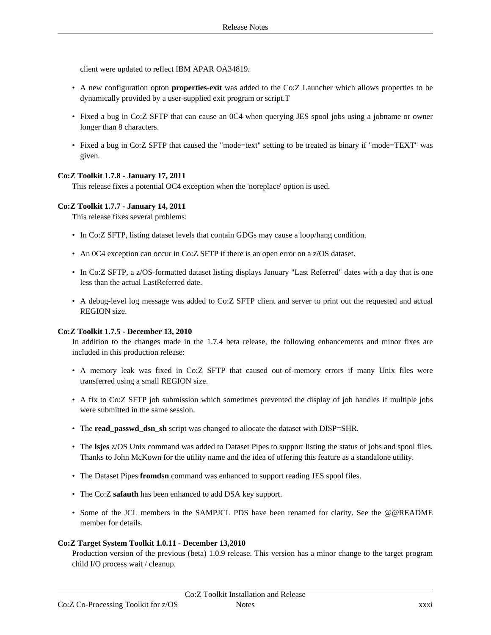client were updated to reflect IBM APAR OA34819.

- A new configuration opton **properties-exit** was added to the Co:Z Launcher which allows properties to be dynamically provided by a user-supplied exit program or script.T
- Fixed a bug in Co:Z SFTP that can cause an 0C4 when querying JES spool jobs using a jobname or owner longer than 8 characters.
- Fixed a bug in Co:Z SFTP that caused the "mode=text" setting to be treated as binary if "mode=TEXT" was given.

#### **Co:Z Toolkit 1.7.8 - January 17, 2011**

This release fixes a potential OC4 exception when the 'noreplace' option is used.

#### **Co:Z Toolkit 1.7.7 - January 14, 2011**

This release fixes several problems:

- In Co:Z SFTP, listing dataset levels that contain GDGs may cause a loop/hang condition.
- An 0C4 exception can occur in Co:Z SFTP if there is an open error on a z/OS dataset.
- In Co:Z SFTP, a z/OS-formatted dataset listing displays January "Last Referred" dates with a day that is one less than the actual LastReferred date.
- A debug-level log message was added to Co:Z SFTP client and server to print out the requested and actual REGION size.

#### **Co:Z Toolkit 1.7.5 - December 13, 2010**

In addition to the changes made in the 1.7.4 beta release, the following enhancements and minor fixes are included in this production release:

- A memory leak was fixed in Co:Z SFTP that caused out-of-memory errors if many Unix files were transferred using a small REGION size.
- A fix to Co:Z SFTP job submission which sometimes prevented the display of job handles if multiple jobs were submitted in the same session.
- The **read\_passwd\_dsn\_sh** script was changed to allocate the dataset with DISP=SHR.
- The **lsjes** z/OS Unix command was added to Dataset Pipes to support listing the status of jobs and spool files. Thanks to John McKown for the utility name and the idea of offering this feature as a standalone utility.
- The Dataset Pipes **fromdsn** command was enhanced to support reading JES spool files.
- The Co:Z **safauth** has been enhanced to add DSA key support.
- Some of the JCL members in the SAMPJCL PDS have been renamed for clarity. See the @@README member for details.

#### **Co:Z Target System Toolkit 1.0.11 - December 13,2010**

Production version of the previous (beta) 1.0.9 release. This version has a minor change to the target program child I/O process wait / cleanup.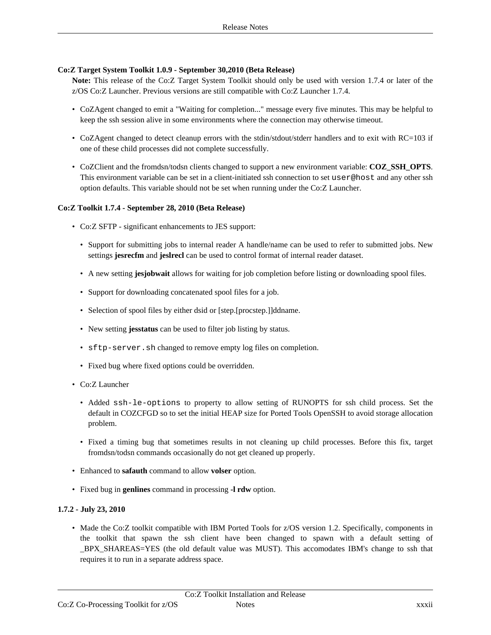#### **Co:Z Target System Toolkit 1.0.9 - September 30,2010 (Beta Release)**

**Note:** This release of the Co:Z Target System Toolkit should only be used with version 1.7.4 or later of the z/OS Co:Z Launcher. Previous versions are still compatible with Co:Z Launcher 1.7.4.

- CoZAgent changed to emit a "Waiting for completion..." message every five minutes. This may be helpful to keep the ssh session alive in some environments where the connection may otherwise timeout.
- CoZAgent changed to detect cleanup errors with the stdin/stdout/stderr handlers and to exit with RC=103 if one of these child processes did not complete successfully.
- CoZClient and the fromdsn/todsn clients changed to support a new environment variable: **COZ\_SSH\_OPTS**. This environment variable can be set in a client-initiated ssh connection to set user@host and any other ssh option defaults. This variable should not be set when running under the Co:Z Launcher.

#### **Co:Z Toolkit 1.7.4 - September 28, 2010 (Beta Release)**

- Co:Z SFTP significant enhancements to JES support:
	- Support for submitting jobs to internal reader A handle/name can be used to refer to submitted jobs. New settings **jesrecfm** and **jeslrecl** can be used to control format of internal reader dataset.
	- A new setting **jesjobwait** allows for waiting for job completion before listing or downloading spool files.
	- Support for downloading concatenated spool files for a job.
	- Selection of spool files by either dsid or [step.[procstep.]]ddname.
	- New setting **jesstatus** can be used to filter job listing by status.
	- sftp-server.sh changed to remove empty log files on completion.
	- Fixed bug where fixed options could be overridden.
- Co:Z Launcher
	- Added ssh-le-options to property to allow setting of RUNOPTS for ssh child process. Set the default in COZCFGD so to set the initial HEAP size for Ported Tools OpenSSH to avoid storage allocation problem.
	- Fixed a timing bug that sometimes results in not cleaning up child processes. Before this fix, target fromdsn/todsn commands occasionally do not get cleaned up properly.
- Enhanced to **safauth** command to allow **volser** option.
- Fixed bug in **genlines** command in processing **-l rdw** option.

#### **1.7.2 - July 23, 2010**

• Made the Co:Z toolkit compatible with IBM Ported Tools for z/OS version 1.2. Specifically, components in the toolkit that spawn the ssh client have been changed to spawn with a default setting of \_BPX\_SHAREAS=YES (the old default value was MUST). This accomodates IBM's change to ssh that requires it to run in a separate address space.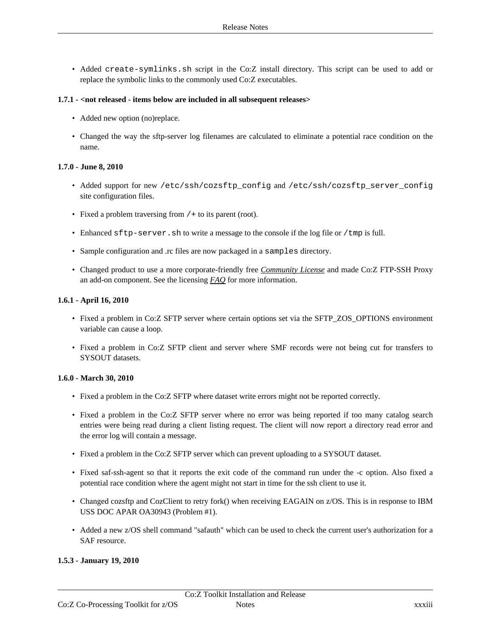• Added create-symlinks.sh script in the Co:Z install directory. This script can be used to add or replace the symbolic links to the commonly used Co:Z executables.

#### **1.7.1 - <not released - items below are included in all subsequent releases>**

- Added new option (no)replace.
- Changed the way the sftp-server log filenames are calculated to eliminate a potential race condition on the name.

#### **1.7.0 - June 8, 2010**

- Added support for new /etc/ssh/cozsftp\_config and /etc/ssh/cozsftp\_server\_config site configuration files.
- Fixed a problem traversing from  $/$  + to its parent (root).
- Enhanced sftp-server. sh to write a message to the console if the log file or /tmp is full.
- Sample configuration and .rc files are now packaged in a samples directory.
- Changed product to use a more corporate-friendly free *[Community](http://coztoolkit.com/docs/coz/licenses.html) License* and made Co:Z FTP-SSH Proxy an add-on component. See the licensing *[FAQ](http://coztoolkit.com/products/coz_license_faq.html)* for more information.

#### **1.6.1 - April 16, 2010**

- Fixed a problem in Co:Z SFTP server where certain options set via the SFTP ZOS OPTIONS environment variable can cause a loop.
- Fixed a problem in Co:Z SFTP client and server where SMF records were not being cut for transfers to SYSOUT datasets.

#### **1.6.0 - March 30, 2010**

- Fixed a problem in the Co:Z SFTP where dataset write errors might not be reported correctly.
- Fixed a problem in the Co:Z SFTP server where no error was being reported if too many catalog search entries were being read during a client listing request. The client will now report a directory read error and the error log will contain a message.
- Fixed a problem in the Co:Z SFTP server which can prevent uploading to a SYSOUT dataset.
- Fixed saf-ssh-agent so that it reports the exit code of the command run under the -c option. Also fixed a potential race condition where the agent might not start in time for the ssh client to use it.
- Changed cozsftp and CozClient to retry fork() when receiving EAGAIN on z/OS. This is in response to IBM USS DOC APAR OA30943 (Problem #1).
- Added a new z/OS shell command "safauth" which can be used to check the current user's authorization for a SAF resource.

## **1.5.3 - January 19, 2010**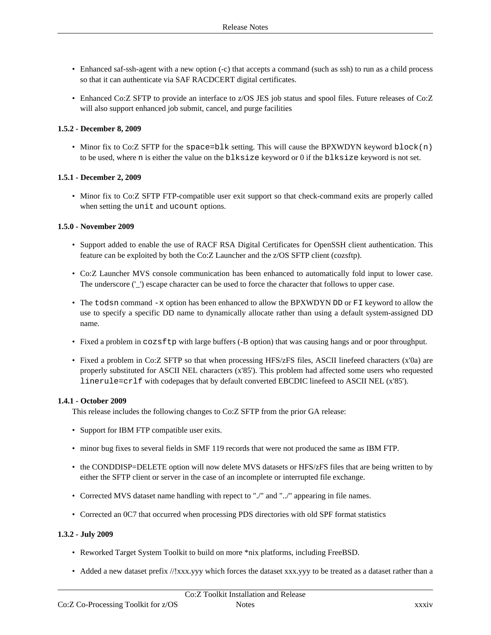- Enhanced saf-ssh-agent with a new option (-c) that accepts a command (such as ssh) to run as a child process so that it can authenticate via SAF RACDCERT digital certificates.
- Enhanced Co:Z SFTP to provide an interface to z/OS JES job status and spool files. Future releases of Co:Z will also support enhanced job submit, cancel, and purge facilities

#### **1.5.2 - December 8, 2009**

• Minor fix to Co:Z SFTP for the space=blk setting. This will cause the BPXWDYN keyword block(n) to be used, where n is either the value on the blksize keyword or 0 if the blksize keyword is not set.

#### **1.5.1 - December 2, 2009**

• Minor fix to Co:Z SFTP FTP-compatible user exit support so that check-command exits are properly called when setting the unit and ucount options.

#### **1.5.0 - November 2009**

- Support added to enable the use of RACF RSA Digital Certificates for OpenSSH client authentication. This feature can be exploited by both the Co:Z Launcher and the z/OS SFTP client (cozsftp).
- Co:Z Launcher MVS console communication has been enhanced to automatically fold input to lower case. The underscore ('\_') escape character can be used to force the character that follows to upper case.
- The todsn command -x option has been enhanced to allow the BPXWDYN DD or FI keyword to allow the use to specify a specific DD name to dynamically allocate rather than using a default system-assigned DD name.
- Fixed a problem in cozsftp with large buffers (-B option) that was causing hangs and or poor throughput.
- Fixed a problem in Co:Z SFTP so that when processing HFS/zFS files, ASCII linefeed characters (x'0a) are properly substituted for ASCII NEL characters (x'85'). This problem had affected some users who requested linerule=crlf with codepages that by default converted EBCDIC linefeed to ASCII NEL (x'85').

#### **1.4.1 - October 2009**

This release includes the following changes to Co:Z SFTP from the prior GA release:

- Support for IBM FTP compatible user exits.
- minor bug fixes to several fields in SMF 119 records that were not produced the same as IBM FTP.
- the CONDDISP=DELETE option will now delete MVS datasets or HFS/zFS files that are being written to by either the SFTP client or server in the case of an incomplete or interrupted file exchange.
- Corrected MVS dataset name handling with repect to "./" and "../" appearing in file names.
- Corrected an 0C7 that occurred when processing PDS directories with old SPF format statistics

## **1.3.2 - July 2009**

- Reworked Target System Toolkit to build on more \*nix platforms, including FreeBSD.
- Added a new dataset prefix //!xxx.yyy which forces the dataset xxx.yyy to be treated as a dataset rather than a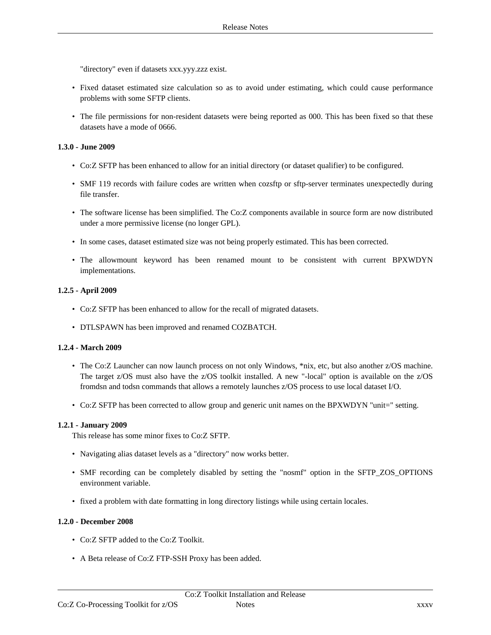"directory" even if datasets xxx.yyy.zzz exist.

- Fixed dataset estimated size calculation so as to avoid under estimating, which could cause performance problems with some SFTP clients.
- The file permissions for non-resident datasets were being reported as 000. This has been fixed so that these datasets have a mode of 0666.

#### **1.3.0 - June 2009**

- Co:Z SFTP has been enhanced to allow for an initial directory (or dataset qualifier) to be configured.
- SMF 119 records with failure codes are written when cozsftp or sftp-server terminates unexpectedly during file transfer.
- The software license has been simplified. The Co:Z components available in source form are now distributed under a more permissive license (no longer GPL).
- In some cases, dataset estimated size was not being properly estimated. This has been corrected.
- The allowmount keyword has been renamed mount to be consistent with current BPXWDYN implementations.

#### **1.2.5 - April 2009**

- Co:Z SFTP has been enhanced to allow for the recall of migrated datasets.
- DTLSPAWN has been improved and renamed COZBATCH.

#### **1.2.4 - March 2009**

- The Co:Z Launcher can now launch process on not only Windows, \*nix, etc, but also another z/OS machine. The target z/OS must also have the z/OS toolkit installed. A new "-local" option is available on the z/OS fromdsn and todsn commands that allows a remotely launches z/OS process to use local dataset I/O.
- Co:Z SFTP has been corrected to allow group and generic unit names on the BPXWDYN "unit=" setting.

#### **1.2.1 - January 2009**

This release has some minor fixes to Co:Z SFTP.

- Navigating alias dataset levels as a "directory" now works better.
- SMF recording can be completely disabled by setting the "nosmf" option in the SFTP\_ZOS\_OPTIONS environment variable.
- fixed a problem with date formatting in long directory listings while using certain locales.

#### **1.2.0 - December 2008**

- Co:Z SFTP added to the Co:Z Toolkit.
- A Beta release of Co:Z FTP-SSH Proxy has been added.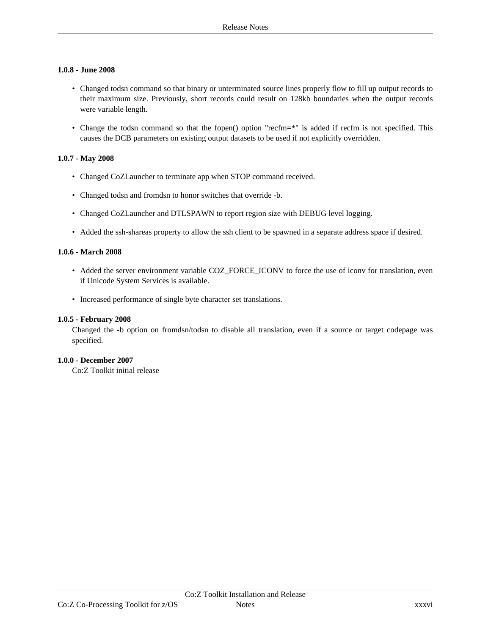#### **1.0.8 - June 2008**

- Changed todsn command so that binary or unterminated source lines properly flow to fill up output records to their maximum size. Previously, short records could result on 128kb boundaries when the output records were variable length.
- Change the todsn command so that the fopen() option "recfm=\*" is added if recfm is not specified. This causes the DCB parameters on existing output datasets to be used if not explicitly overridden.

#### **1.0.7 - May 2008**

- Changed CoZLauncher to terminate app when STOP command received.
- Changed todsn and fromdsn to honor switches that override -b.
- Changed CoZLauncher and DTLSPAWN to report region size with DEBUG level logging.
- Added the ssh-shareas property to allow the ssh client to be spawned in a separate address space if desired.

#### **1.0.6 - March 2008**

- Added the server environment variable COZ\_FORCE\_ICONV to force the use of iconv for translation, even if Unicode System Services is available.
- Increased performance of single byte character set translations.

#### **1.0.5 - February 2008**

Changed the -b option on fromdsn/todsn to disable all translation, even if a source or target codepage was specified.

#### **1.0.0 - December 2007**

Co:Z Toolkit initial release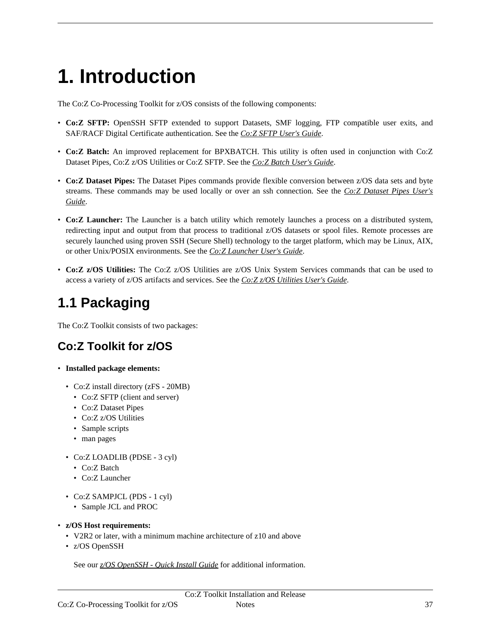# <span id="page-36-0"></span>**1. Introduction**

The Co:Z Co-Processing Toolkit for z/OS consists of the following components:

- **Co:Z SFTP:** OpenSSH SFTP extended to support Datasets, SMF logging, FTP compatible user exits, and SAF/RACF Digital Certificate authentication. See the *Co:Z SFTP [User's](https://coztoolkit.com/docs/sftp/index.html) Guide*.
- **Co:Z Batch:** An improved replacement for BPXBATCH. This utility is often used in conjunction with Co:Z Dataset Pipes, Co:Z z/OS Utilities or Co:Z SFTP. See the *Co:Z Batch [User's](https://coztoolkit.com/docs/cozbatch/index.html) Guide*.
- **Co:Z Dataset Pipes:** The Dataset Pipes commands provide flexible conversion between z/OS data sets and byte streams. These commands may be used locally or over an ssh connection. See the *Co:Z [Dataset](https://coztoolkit.com/docs/dspipes/index.html) Pipes User's [Guide](https://coztoolkit.com/docs/dspipes/index.html)*.
- **Co:Z Launcher:** The Launcher is a batch utility which remotely launches a process on a distributed system, redirecting input and output from that process to traditional z/OS datasets or spool files. Remote processes are securely launched using proven SSH (Secure Shell) technology to the target platform, which may be Linux, AIX, or other Unix/POSIX environments. See the *Co:Z [Launcher](https://coztoolkit.com/docs/coz/index.html) User's Guide*.
- **Co:Z z/OS Utilities:** The Co:Z z/OS Utilities are z/OS Unix System Services commands that can be used to access a variety of z/OS artifacts and services. See the *Co:Z z/OS [Utilities](https://coztoolkit.com/docs/zos-utilities/index.html) User's Guide*.

# <span id="page-36-1"></span>**1.1 Packaging**

<span id="page-36-2"></span>The Co:Z Toolkit consists of two packages:

# **Co:Z Toolkit for z/OS**

- **Installed package elements:**
	- Co:Z install directory (zFS 20MB)
		- Co:Z SFTP (client and server)
		- Co:Z Dataset Pipes
		- Co:Z z/OS Utilities
		- Sample scripts
		- man pages
	- Co:Z LOADLIB (PDSE 3 cyl)
		- Co:Z Batch
		- Co:Z Launcher
	- Co:Z SAMPJCL (PDS 1 cyl)
		- Sample JCL and PROC
- **z/OS Host requirements:**
	- V2R2 or later, with a minimum machine architecture of z10 and above
	- z/OS OpenSSH

See our *z/OS [OpenSSH](https://coztoolkit.com/docs/pt-quick-inst/index.html) - Quick Install Guide* for additional information.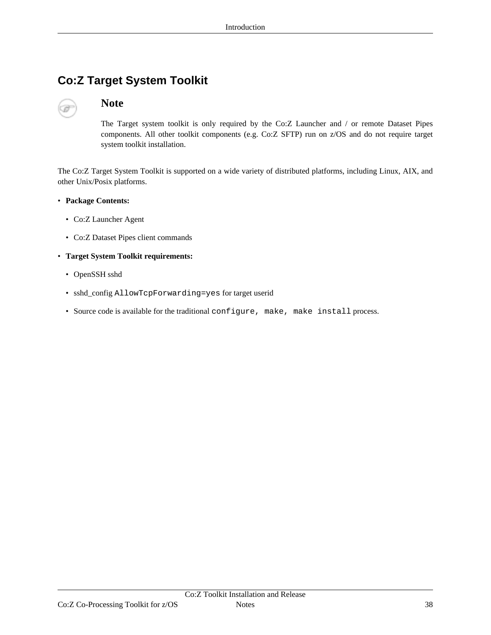# <span id="page-37-0"></span>**Co:Z Target System Toolkit**

# **Note**

The Target system toolkit is only required by the Co:Z Launcher and / or remote Dataset Pipes components. All other toolkit components (e.g. Co:Z SFTP) run on z/OS and do not require target system toolkit installation.

The Co:Z Target System Toolkit is supported on a wide variety of distributed platforms, including Linux, AIX, and other Unix/Posix platforms.

#### • **Package Contents:**

- Co:Z Launcher Agent
- Co:Z Dataset Pipes client commands

#### • **Target System Toolkit requirements:**

- OpenSSH sshd
- sshd\_config AllowTcpForwarding=yes for target userid
- Source code is available for the traditional configure, make, make install process.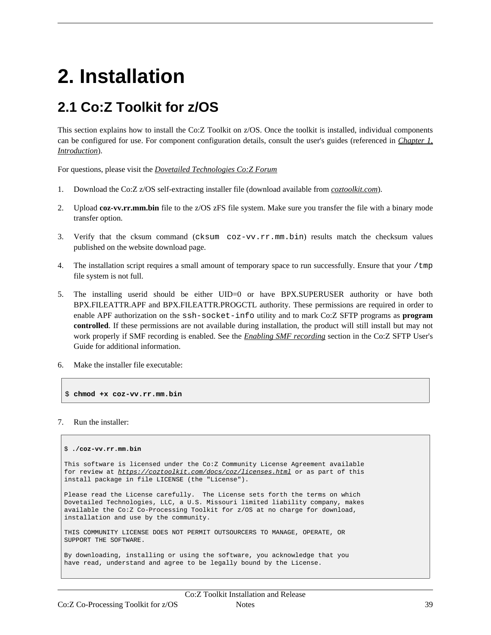# <span id="page-38-0"></span>**2. Installation**

# <span id="page-38-1"></span>**2.1 Co:Z Toolkit for z/OS**

This section explains how to install the Co:Z Toolkit on z/OS. Once the toolkit is installed, individual components can be configured for use. For component configuration details, consult the user's guides (referenced in *C[hapter](#page-36-0) 1, [Introduction](#page-36-0)*).

For questions, please visit the *Dovetailed [Technologies](https://coztoolkit.com/forum) Co:Z Forum*

- 1. Download the Co:Z z/OS self-extracting installer file (download available from *[coztoolkit.com](https://coztoolkit.com/downloads/coz/index.html)*).
- 2. Upload **coz-vv.rr.mm.bin** file to the z/OS zFS file system. Make sure you transfer the file with a binary mode transfer option.
- 3. Verify that the cksum command (cksum coz-vv.rr.mm.bin) results match the checksum values published on the website download page.
- 4. The installation script requires a small amount of temporary space to run successfully. Ensure that your  $/\text{tmp}$ file system is not full.
- 5. The installing userid should be either UID=0 or have BPX.SUPERUSER authority or have both BPX.FILEATTR.APF and BPX.FILEATTR.PROGCTL authority. These permissions are required in order to enable APF authorization on the ssh-socket-info utility and to mark Co:Z SFTP programs as **program controlled**. If these permissions are not available during installation, the product will still install but may not work properly if SMF recording is enabled. See the *Enabling SMF [recording](https://coztoolkit.com/docs/sftp/smf-support.html#ssh-socket-info)* section in the Co:Z SFTP User's Guide for additional information.
- 6. Make the installer file executable:

\$ **chmod +x coz-vv.rr.mm.bin**

#### 7. Run the installer:

#### \$ **./coz-vv.rr.mm.bin**

```
This software is licensed under the Co:Z Community License Agreement available
https://coztoolkit.com/docs/coz/licenses.html or as part of this
install package in file LICENSE (the "License").
```
Please read the License carefully. The License sets forth the terms on which Dovetailed Technologies, LLC, a U.S. Missouri limited liability company, makes available the Co:Z Co-Processing Toolkit for z/OS at no charge for download, installation and use by the community.

THIS COMMUNITY LICENSE DOES NOT PERMIT OUTSOURCERS TO MANAGE, OPERATE, OR SUPPORT THE SOFTWARE.

By downloading, installing or using the software, you acknowledge that you have read, understand and agree to be legally bound by the License.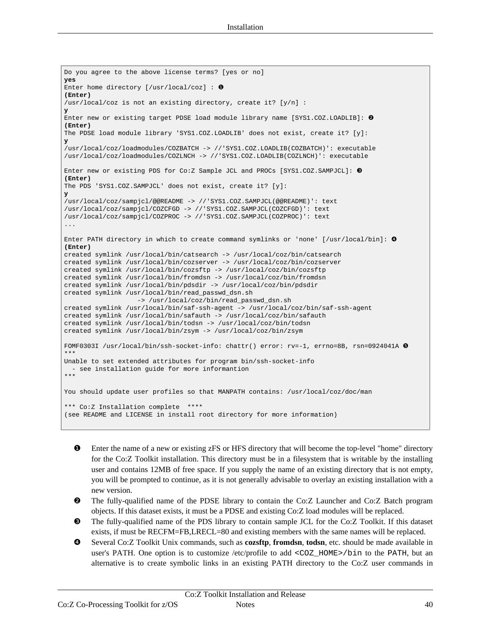```
Do you agree to the above license terms? [yes or no]
yes
Enter home directory [/usr/local/coz] : ❶
(Enter)
/usr/local/coz is not an existing directory, create it? [y/n] :
y
Enter new or existing target PDSE load module library name [SYS1.COZ.LOADLIB]: ❷
(Enter)
The PDSE load module library 'SYS1.COZ.LOADLIB' does not exist, create it? [y]:
y
/usr/local/coz/loadmodules/COZBATCH -> //'SYS1.COZ.LOADLIB(COZBATCH)': executable
/usr/local/coz/loadmodules/COZLNCH -> //'SYS1.COZ.LOADLIB(COZLNCH)': executable
Enter new or existing PDS for Co:Z Sample JCL and PROCs [SYS1.COZ.SAMPJCL]: ❸
(Enter)
The PDS 'SYS1.COZ.SAMPJCL' does not exist, create it? [y]:
y
/usr/local/coz/sampjcl/@@README -> //'SYS1.COZ.SAMPJCL(@@README)': text
/usr/local/coz/sampjcl/COZCFGD -> //'SYS1.COZ.SAMPJCL(COZCFGD)': text
/usr/local/coz/sampjcl/COZPROC -> //'SYS1.COZ.SAMPJCL(COZPROC)': text
...
Enter PATH directory in which to create command symlinks or 'none' [/usr/local/bin]: ❹
(Enter)
created symlink /usr/local/bin/catsearch -> /usr/local/coz/bin/catsearch
created symlink /usr/local/bin/cozserver -> /usr/local/coz/bin/cozserver
created symlink /usr/local/bin/cozsftp -> /usr/local/coz/bin/cozsftp
created symlink /usr/local/bin/fromdsn -> /usr/local/coz/bin/fromdsn
created symlink /usr/local/bin/pdsdir -> /usr/local/coz/bin/pdsdir
created symlink /usr/local/bin/read_passwd_dsn.sh
                   -> /usr/local/coz/bin/read_passwd_dsn.sh
created symlink /usr/local/bin/saf-ssh-agent -> /usr/local/coz/bin/saf-ssh-agent
created symlink /usr/local/bin/safauth -> /usr/local/coz/bin/safauth
created symlink /usr/local/bin/todsn -> /usr/local/coz/bin/todsn
created symlink /usr/local/bin/zsym -> /usr/local/coz/bin/zsym
FOMF0303I /usr/local/bin/ssh-socket-info: chattr() error: rv=-1, errno=8B, rsn=0924041A ❺
***
Unable to set extended attributes for program bin/ssh-socket-info
 - see installation guide for more informantion
***
You should update user profiles so that MANPATH contains: /usr/local/coz/doc/man
*** Co:Z Installation complete ****
(see README and LICENSE in install root directory for more information)
```
- ❶ Enter the name of a new or existing zFS or HFS directory that will become the top-level "home" directory for the Co:Z Toolkit installation. This directory must be in a filesystem that is writable by the installing user and contains 12MB of free space. If you supply the name of an existing directory that is not empty, you will be prompted to continue, as it is not generally advisable to overlay an existing installation with a new version.
- ❷ The fully-qualified name of the PDSE library to contain the Co:Z Launcher and Co:Z Batch program objects. If this dataset exists, it must be a PDSE and existing Co:Z load modules will be replaced.
- ❸ The fully-qualified name of the PDS library to contain sample JCL for the Co:Z Toolkit. If this dataset exists, if must be RECFM=FB,LRECL=80 and existing members with the same names will be replaced.
- ❹ Several Co:Z Toolkit Unix commands, such as **cozsftp**, **fromdsn**, **todsn**, etc. should be made available in user's PATH. One option is to customize /etc/profile to add <COZ\_HOME>/bin to the PATH, but an alternative is to create symbolic links in an existing PATH directory to the Co:Z user commands in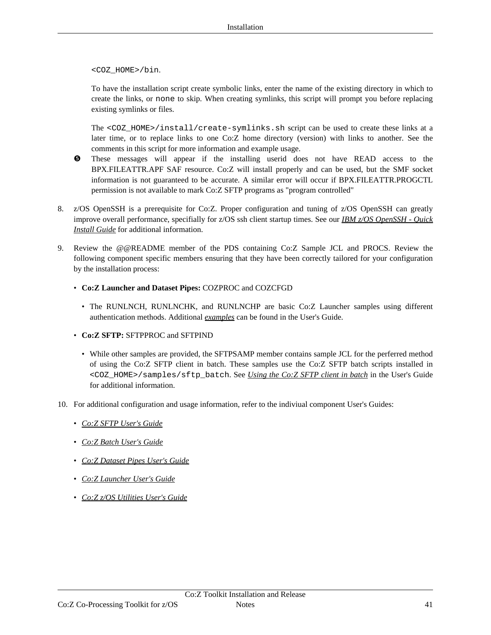<COZ\_HOME>/bin.

To have the installation script create symbolic links, enter the name of the existing directory in which to create the links, or none to skip. When creating symlinks, this script will prompt you before replacing existing symlinks or files.

The <COZ\_HOME>/install/create-symlinks.sh script can be used to create these links at a later time, or to replace links to one Co:Z home directory (version) with links to another. See the comments in this script for more information and example usage.

- ❺ These messages will appear if the installing userid does not have READ access to the BPX.FILEATTR.APF SAF resource. Co:Z will install properly and can be used, but the SMF socket information is not guaranteed to be accurate. A similar error will occur if BPX.FILEATTR.PROGCTL permission is not available to mark Co:Z SFTP programs as "program controlled"
- 8. z/OS OpenSSH is a prerequisite for Co:Z. Proper configuration and tuning of z/OS OpenSSH can greatly improve overall performance, specifially for z/OS ssh client startup times. See our *IBM z/OS [OpenSSH](https://coztoolkit.com/docs/pt-quick-inst/index.html) - Quick [Install](https://coztoolkit.com/docs/pt-quick-inst/index.html) Guide* for additional information.
- 9. Review the @@README member of the PDS containing Co:Z Sample JCL and PROCS. Review the following component specific members ensuring that they have been correctly tailored for your configuration by the installation process:
	- **Co:Z Launcher and Dataset Pipes:** COZPROC and COZCFGD
		- The RUNLNCH, RUNLNCHK, and RUNLNCHP are basic Co: Z Launcher samples using different authentication methods. Additional *[examples](https://coztoolkit.com/docs/coz/cookbook.html)* can be found in the User's Guide.
	- **Co:Z SFTP:** SFTPPROC and SFTPIND
		- While other samples are provided, the SFTPSAMP member contains sample JCL for the perferred method of using the Co:Z SFTP client in batch. These samples use the Co:Z SFTP batch scripts installed in <COZ\_HOME>/samples/sftp\_batch. See *Using the Co:Z [SFTP](https://coztoolkit.com/docs/sftp/client.html#client-batch) client in batch* in the User's Guide for additional information.
- 10. For additional configuration and usage information, refer to the indiviual component User's Guides:
	- *Co:Z SFTP [User's](https://coztoolkit.com/docs/sftp/index.html) Guide*
	- *Co:Z Batch [User's](https://coztoolkit.com/docs/cozbatch/index.html) Guide*
	- *Co:Z [Dataset](https://coztoolkit.com/docs/dspipes/index.html) Pipes User's Guide*
	- *Co:Z [Launcher](https://coztoolkit.com/docs/coz/index.html) User's Guide*
	- *Co:Z z/OS [Utilities](https://coztoolkit.com/docs/zos-utilities/index.html) User's Guide*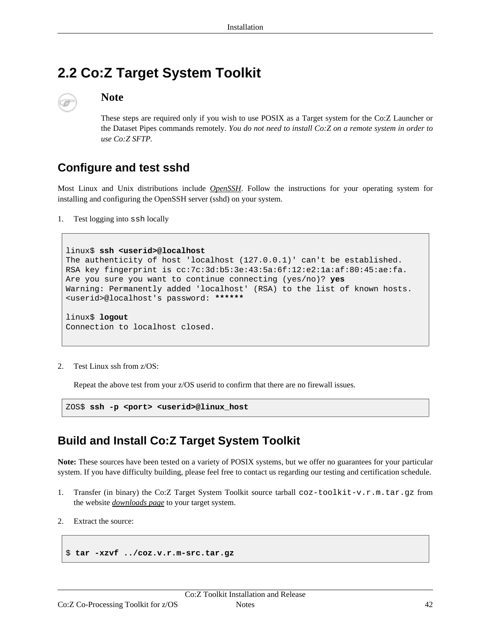# <span id="page-41-0"></span>**2.2 Co:Z Target System Toolkit**



# **Note**

These steps are required only if you wish to use POSIX as a Target system for the Co:Z Launcher or the Dataset Pipes commands remotely. *You do not need to install Co:Z on a remote system in order to use Co:Z SFTP.*

# <span id="page-41-1"></span>**Configure and test sshd**

Most Linux and Unix distributions include *Ope[nSSH](http://openssh.com)*. Follow the instructions for your operating system for installing and configuring the OpenSSH server (sshd) on your system.

1. Test logging into ssh locally

```
linux$ ssh <userid>@localhost
The authenticity of host 'localhost (127.0.0.1)' can't be established.
RSA key fingerprint is cc:7c:3d:b5:3e:43:5a:6f:12:e2:1a:af:80:45:ae:fa.
Are you sure you want to continue connecting (yes/no)? yes
Warning: Permanently added 'localhost' (RSA) to the list of known hosts.
<userid>@localhost's password: ******
linux$ logout
Connection to localhost closed.
```
2. Test Linux ssh from z/OS:

Repeat the above test from your z/OS userid to confirm that there are no firewall issues.

ZOS\$ **ssh -p <port> <userid>@linux\_host**

# <span id="page-41-2"></span>**Build and Install Co:Z Target System Toolkit**

**Note:** These sources have been tested on a variety of POSIX systems, but we offer no guarantees for your particular system. If you have difficulty building, please feel free to contact us regarding our testing and certification schedule.

- 1. Transfer (in binary) the Co:Z Target System Toolkit source tarball coz-toolkit-v.r.m.tar.gz from the website *[downloads](https://coztoolkit.com/downloads/coz/index.html) page* to your target system.
- 2. Extract the source:

\$ **tar -xzvf ../coz.v.r.m-src.tar.gz**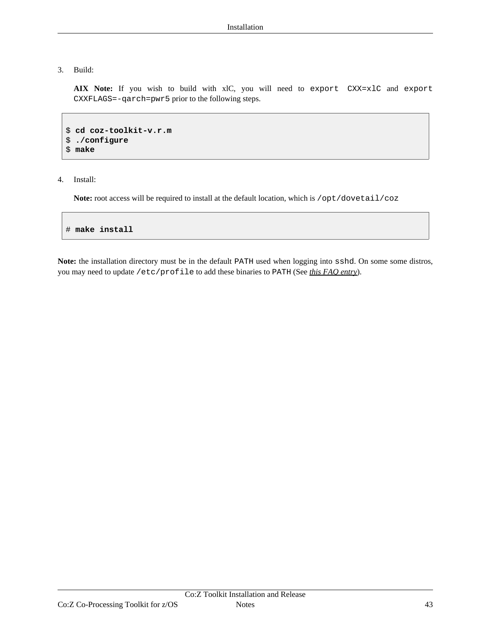#### 3. Build:

**AIX Note:** If you wish to build with xlC, you will need to export CXX=xlC and export CXXFLAGS=-qarch=pwr5 prior to the following steps.

```
$ cd coz-toolkit-v.r.m
$ ./configure
$ make
```
4. Install:

Note: root access will be required to install at the default location, which is /opt/dovetail/coz

# **make install**

**Note:** the installation directory must be in the default PATH used when logging into sshd. On some some distros, you may need to update /etc/profile to add these binaries to PATH (See *this FAQ [entry](#page--1-0)*).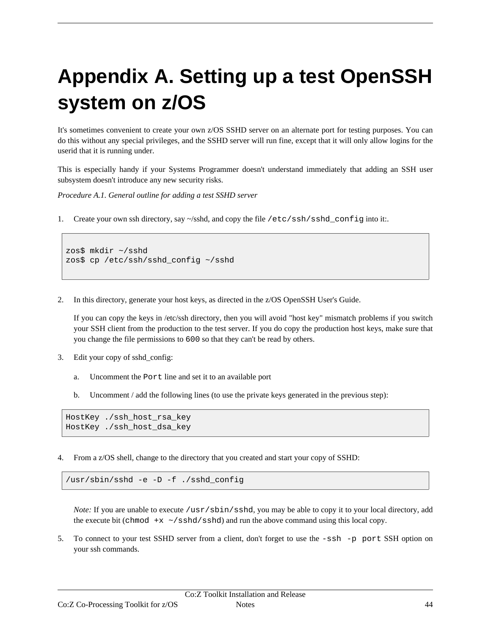# <span id="page-43-0"></span>**Appendix A. Setting up a test OpenSSH system on z/OS**

It's sometimes convenient to create your own z/OS SSHD server on an alternate port for testing purposes. You can do this without any special privileges, and the SSHD server will run fine, except that it will only allow logins for the userid that it is running under.

This is especially handy if your Systems Programmer doesn't understand immediately that adding an SSH user subsystem doesn't introduce any new security risks.

*Procedure A.1. General outline for adding a test SSHD server*

1. Create your own ssh directory, say ~/sshd, and copy the file /etc/ssh/sshd\_config into it:.

```
zos$ mkdir ~/sshd
zos$ cp /etc/ssh/sshd_config ~/sshd
```
2. In this directory, generate your host keys, as directed in the z/OS OpenSSH User's Guide.

If you can copy the keys in /etc/ssh directory, then you will avoid "host key" mismatch problems if you switch your SSH client from the production to the test server. If you do copy the production host keys, make sure that you change the file permissions to 600 so that they can't be read by others.

- 3. Edit your copy of sshd\_config:
	- a. Uncomment the Port line and set it to an available port
	- b. Uncomment / add the following lines (to use the private keys generated in the previous step):

```
HostKey ./ssh_host_rsa_key
HostKey ./ssh_host_dsa_key
```
4. From a z/OS shell, change to the directory that you created and start your copy of SSHD:

/usr/sbin/sshd -e -D -f ./sshd\_config

*Note:* If you are unable to execute /usr/sbin/sshd, you may be able to copy it to your local directory, add the execute bit (chmod  $+x \sim$ /sshd/sshd) and run the above command using this local copy.

5. To connect to your test SSHD server from a client, don't forget to use the -ssh -p port SSH option on your ssh commands.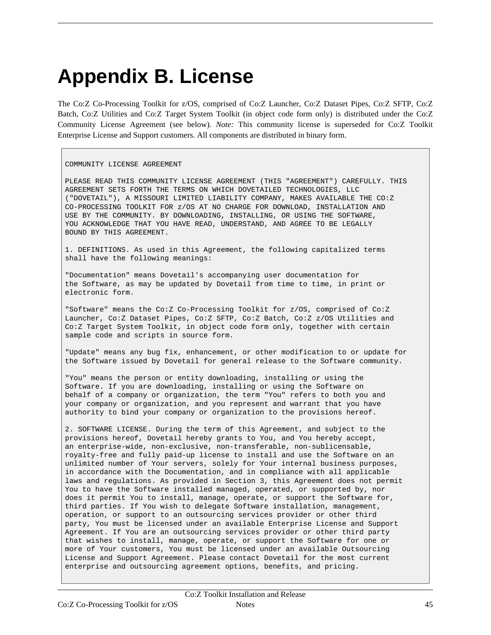# <span id="page-44-0"></span>**Appendix B. License**

The Co:Z Co-Processing Toolkit for z/OS, comprised of Co:Z Launcher, Co:Z Dataset Pipes, Co:Z SFTP, Co:Z Batch, Co:Z Utilities and Co:Z Target System Toolkit (in object code form only) is distributed under the Co:Z Community License Agreement (see below). *Note:* This community license is superseded for Co:Z Toolkit Enterprise License and Support customers. All components are distributed in binary form.

COMMUNITY LICENSE AGREEMENT

PLEASE READ THIS COMMUNITY LICENSE AGREEMENT (THIS "AGREEMENT") CAREFULLY. THIS AGREEMENT SETS FORTH THE TERMS ON WHICH DOVETAILED TECHNOLOGIES, LLC ("DOVETAIL"), A MISSOURI LIMITED LIABILITY COMPANY, MAKES AVAILABLE THE CO:Z CO-PROCESSING TOOLKIT FOR z/OS AT NO CHARGE FOR DOWNLOAD, INSTALLATION AND USE BY THE COMMUNITY. BY DOWNLOADING, INSTALLING, OR USING THE SOFTWARE, YOU ACKNOWLEDGE THAT YOU HAVE READ, UNDERSTAND, AND AGREE TO BE LEGALLY BOUND BY THIS AGREEMENT.

1. DEFINITIONS. As used in this Agreement, the following capitalized terms shall have the following meanings:

"Documentation" means Dovetail's accompanying user documentation for the Software, as may be updated by Dovetail from time to time, in print or electronic form.

"Software" means the Co:Z Co-Processing Toolkit for z/OS, comprised of Co:Z Launcher, Co:Z Dataset Pipes, Co:Z SFTP, Co:Z Batch, Co:Z z/OS Utilities and Co:Z Target System Toolkit, in object code form only, together with certain sample code and scripts in source form.

"Update" means any bug fix, enhancement, or other modification to or update for the Software issued by Dovetail for general release to the Software community.

"You" means the person or entity downloading, installing or using the Software. If you are downloading, installing or using the Software on behalf of a company or organization, the term "You" refers to both you and your company or organization, and you represent and warrant that you have authority to bind your company or organization to the provisions hereof.

2. SOFTWARE LICENSE. During the term of this Agreement, and subject to the provisions hereof, Dovetail hereby grants to You, and You hereby accept, an enterprise-wide, non-exclusive, non-transferable, non-sublicensable, royalty-free and fully paid-up license to install and use the Software on an unlimited number of Your servers, solely for Your internal business purposes, in accordance with the Documentation, and in compliance with all applicable laws and regulations. As provided in Section 3, this Agreement does not permit You to have the Software installed managed, operated, or supported by, nor does it permit You to install, manage, operate, or support the Software for, third parties. If You wish to delegate Software installation, management, operation, or support to an outsourcing services provider or other third party, You must be licensed under an available Enterprise License and Support Agreement. If You are an outsourcing services provider or other third party that wishes to install, manage, operate, or support the Software for one or more of Your customers, You must be licensed under an available Outsourcing License and Support Agreement. Please contact Dovetail for the most current enterprise and outsourcing agreement options, benefits, and pricing.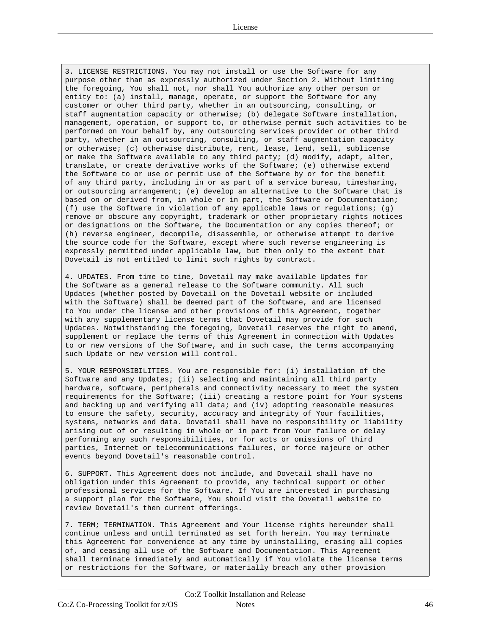3. LICENSE RESTRICTIONS. You may not install or use the Software for any purpose other than as expressly authorized under Section 2. Without limiting the foregoing, You shall not, nor shall You authorize any other person or entity to: (a) install, manage, operate, or support the Software for any customer or other third party, whether in an outsourcing, consulting, or staff augmentation capacity or otherwise; (b) delegate Software installation, management, operation, or support to, or otherwise permit such activities to be performed on Your behalf by, any outsourcing services provider or other third party, whether in an outsourcing, consulting, or staff augmentation capacity or otherwise; (c) otherwise distribute, rent, lease, lend, sell, sublicense or make the Software available to any third party; (d) modify, adapt, alter, translate, or create derivative works of the Software; (e) otherwise extend the Software to or use or permit use of the Software by or for the benefit of any third party, including in or as part of a service bureau, timesharing, or outsourcing arrangement; (e) develop an alternative to the Software that is based on or derived from, in whole or in part, the Software or Documentation; (f) use the Software in violation of any applicable laws or regulations; (g) remove or obscure any copyright, trademark or other proprietary rights notices or designations on the Software, the Documentation or any copies thereof; or (h) reverse engineer, decompile, disassemble, or otherwise attempt to derive the source code for the Software, except where such reverse engineering is expressly permitted under applicable law, but then only to the extent that Dovetail is not entitled to limit such rights by contract.

4. UPDATES. From time to time, Dovetail may make available Updates for the Software as a general release to the Software community. All such Updates (whether posted by Dovetail on the Dovetail website or included with the Software) shall be deemed part of the Software, and are licensed to You under the license and other provisions of this Agreement, together with any supplementary license terms that Dovetail may provide for such Updates. Notwithstanding the foregoing, Dovetail reserves the right to amend, supplement or replace the terms of this Agreement in connection with Updates to or new versions of the Software, and in such case, the terms accompanying such Update or new version will control.

5. YOUR RESPONSIBILITIES. You are responsible for: (i) installation of the Software and any Updates; (ii) selecting and maintaining all third party hardware, software, peripherals and connectivity necessary to meet the system requirements for the Software; (iii) creating a restore point for Your systems and backing up and verifying all data; and (iv) adopting reasonable measures to ensure the safety, security, accuracy and integrity of Your facilities, systems, networks and data. Dovetail shall have no responsibility or liability arising out of or resulting in whole or in part from Your failure or delay performing any such responsibilities, or for acts or omissions of third parties, Internet or telecommunications failures, or force majeure or other events beyond Dovetail's reasonable control.

6. SUPPORT. This Agreement does not include, and Dovetail shall have no obligation under this Agreement to provide, any technical support or other professional services for the Software. If You are interested in purchasing a support plan for the Software, You should visit the Dovetail website to review Dovetail's then current offerings.

7. TERM; TERMINATION. This Agreement and Your license rights hereunder shall continue unless and until terminated as set forth herein. You may terminate this Agreement for convenience at any time by uninstalling, erasing all copies of, and ceasing all use of the Software and Documentation. This Agreement shall terminate immediately and automatically if You violate the license terms or restrictions for the Software, or materially breach any other provision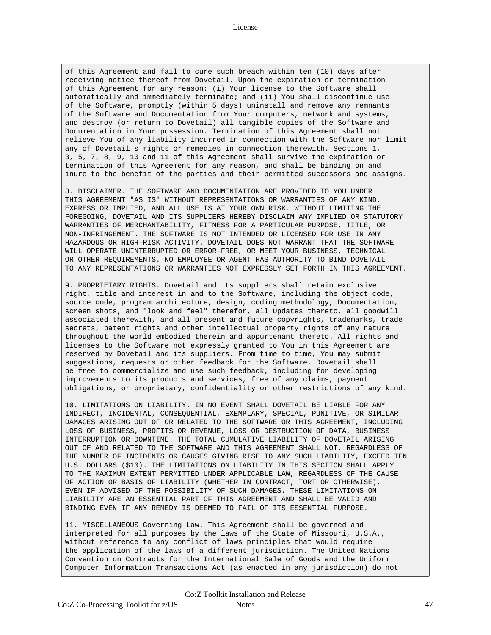of this Agreement and fail to cure such breach within ten (10) days after receiving notice thereof from Dovetail. Upon the expiration or termination of this Agreement for any reason: (i) Your license to the Software shall automatically and immediately terminate; and (ii) You shall discontinue use of the Software, promptly (within 5 days) uninstall and remove any remnants of the Software and Documentation from Your computers, network and systems, and destroy (or return to Dovetail) all tangible copies of the Software and Documentation in Your possession. Termination of this Agreement shall not relieve You of any liability incurred in connection with the Software nor limit any of Dovetail's rights or remedies in connection therewith. Sections 1, 3, 5, 7, 8, 9, 10 and 11 of this Agreement shall survive the expiration or termination of this Agreement for any reason, and shall be binding on and inure to the benefit of the parties and their permitted successors and assigns.

8. DISCLAIMER. THE SOFTWARE AND DOCUMENTATION ARE PROVIDED TO YOU UNDER THIS AGREEMENT "AS IS" WITHOUT REPRESENTATIONS OR WARRANTIES OF ANY KIND, EXPRESS OR IMPLIED, AND ALL USE IS AT YOUR OWN RISK. WITHOUT LIMITING THE FOREGOING, DOVETAIL AND ITS SUPPLIERS HEREBY DISCLAIM ANY IMPLIED OR STATUTORY WARRANTIES OF MERCHANTABILITY, FITNESS FOR A PARTICULAR PURPOSE, TITLE, OR NON-INFRINGEMENT. THE SOFTWARE IS NOT INTENDED OR LICENSED FOR USE IN ANY HAZARDOUS OR HIGH-RISK ACTIVITY. DOVETAIL DOES NOT WARRANT THAT THE SOFTWARE WILL OPERATE UNINTERRUPTED OR ERROR-FREE, OR MEET YOUR BUSINESS, TECHNICAL OR OTHER REQUIREMENTS. NO EMPLOYEE OR AGENT HAS AUTHORITY TO BIND DOVETAIL TO ANY REPRESENTATIONS OR WARRANTIES NOT EXPRESSLY SET FORTH IN THIS AGREEMENT.

9. PROPRIETARY RIGHTS. Dovetail and its suppliers shall retain exclusive right, title and interest in and to the Software, including the object code, source code, program architecture, design, coding methodology, Documentation, screen shots, and "look and feel" therefor, all Updates thereto, all goodwill associated therewith, and all present and future copyrights, trademarks, trade secrets, patent rights and other intellectual property rights of any nature throughout the world embodied therein and appurtenant thereto. All rights and licenses to the Software not expressly granted to You in this Agreement are reserved by Dovetail and its suppliers. From time to time, You may submit suggestions, requests or other feedback for the Software. Dovetail shall be free to commercialize and use such feedback, including for developing improvements to its products and services, free of any claims, payment obligations, or proprietary, confidentiality or other restrictions of any kind.

10. LIMITATIONS ON LIABILITY. IN NO EVENT SHALL DOVETAIL BE LIABLE FOR ANY INDIRECT, INCIDENTAL, CONSEQUENTIAL, EXEMPLARY, SPECIAL, PUNITIVE, OR SIMILAR DAMAGES ARISING OUT OF OR RELATED TO THE SOFTWARE OR THIS AGREEMENT, INCLUDING LOSS OF BUSINESS, PROFITS OR REVENUE, LOSS OR DESTRUCTION OF DATA, BUSINESS INTERRUPTION OR DOWNTIME. THE TOTAL CUMULATIVE LIABILITY OF DOVETAIL ARISING OUT OF AND RELATED TO THE SOFTWARE AND THIS AGREEMENT SHALL NOT, REGARDLESS OF THE NUMBER OF INCIDENTS OR CAUSES GIVING RISE TO ANY SUCH LIABILITY, EXCEED TEN U.S. DOLLARS (\$10). THE LIMITATIONS ON LIABILITY IN THIS SECTION SHALL APPLY TO THE MAXIMUM EXTENT PERMITTED UNDER APPLICABLE LAW, REGARDLESS OF THE CAUSE OF ACTION OR BASIS OF LIABILITY (WHETHER IN CONTRACT, TORT OR OTHERWISE), EVEN IF ADVISED OF THE POSSIBILITY OF SUCH DAMAGES. THESE LIMITATIONS ON LIABILITY ARE AN ESSENTIAL PART OF THIS AGREEMENT AND SHALL BE VALID AND BINDING EVEN IF ANY REMEDY IS DEEMED TO FAIL OF ITS ESSENTIAL PURPOSE.

11. MISCELLANEOUS Governing Law. This Agreement shall be governed and interpreted for all purposes by the laws of the State of Missouri, U.S.A., without reference to any conflict of laws principles that would require the application of the laws of a different jurisdiction. The United Nations Convention on Contracts for the International Sale of Goods and the Uniform Computer Information Transactions Act (as enacted in any jurisdiction) do not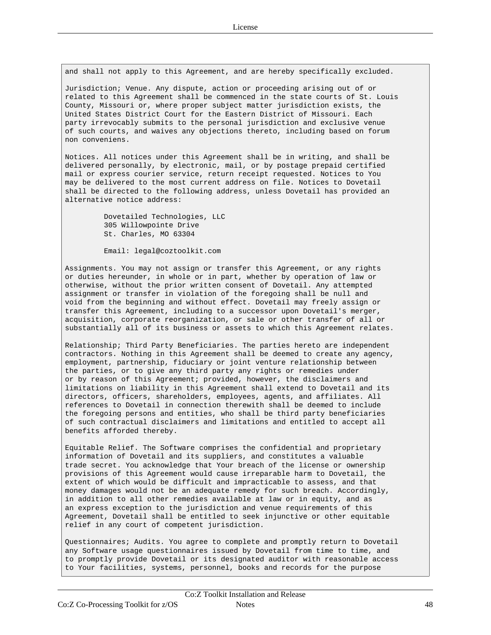and shall not apply to this Agreement, and are hereby specifically excluded.

Jurisdiction; Venue. Any dispute, action or proceeding arising out of or related to this Agreement shall be commenced in the state courts of St. Louis County, Missouri or, where proper subject matter jurisdiction exists, the United States District Court for the Eastern District of Missouri. Each party irrevocably submits to the personal jurisdiction and exclusive venue of such courts, and waives any objections thereto, including based on forum non conveniens.

Notices. All notices under this Agreement shall be in writing, and shall be delivered personally, by electronic, mail, or by postage prepaid certified mail or express courier service, return receipt requested. Notices to You may be delivered to the most current address on file. Notices to Dovetail shall be directed to the following address, unless Dovetail has provided an alternative notice address:

> Dovetailed Technologies, LLC 305 Willowpointe Drive St. Charles, MO 63304

Email: legal@coztoolkit.com

Assignments. You may not assign or transfer this Agreement, or any rights or duties hereunder, in whole or in part, whether by operation of law or otherwise, without the prior written consent of Dovetail. Any attempted assignment or transfer in violation of the foregoing shall be null and void from the beginning and without effect. Dovetail may freely assign or transfer this Agreement, including to a successor upon Dovetail's merger, acquisition, corporate reorganization, or sale or other transfer of all or substantially all of its business or assets to which this Agreement relates.

Relationship; Third Party Beneficiaries. The parties hereto are independent contractors. Nothing in this Agreement shall be deemed to create any agency, employment, partnership, fiduciary or joint venture relationship between the parties, or to give any third party any rights or remedies under or by reason of this Agreement; provided, however, the disclaimers and limitations on liability in this Agreement shall extend to Dovetail and its directors, officers, shareholders, employees, agents, and affiliates. All references to Dovetail in connection therewith shall be deemed to include the foregoing persons and entities, who shall be third party beneficiaries of such contractual disclaimers and limitations and entitled to accept all benefits afforded thereby.

Equitable Relief. The Software comprises the confidential and proprietary information of Dovetail and its suppliers, and constitutes a valuable trade secret. You acknowledge that Your breach of the license or ownership provisions of this Agreement would cause irreparable harm to Dovetail, the extent of which would be difficult and impracticable to assess, and that money damages would not be an adequate remedy for such breach. Accordingly, in addition to all other remedies available at law or in equity, and as an express exception to the jurisdiction and venue requirements of this Agreement, Dovetail shall be entitled to seek injunctive or other equitable relief in any court of competent jurisdiction.

Questionnaires; Audits. You agree to complete and promptly return to Dovetail any Software usage questionnaires issued by Dovetail from time to time, and to promptly provide Dovetail or its designated auditor with reasonable access to Your facilities, systems, personnel, books and records for the purpose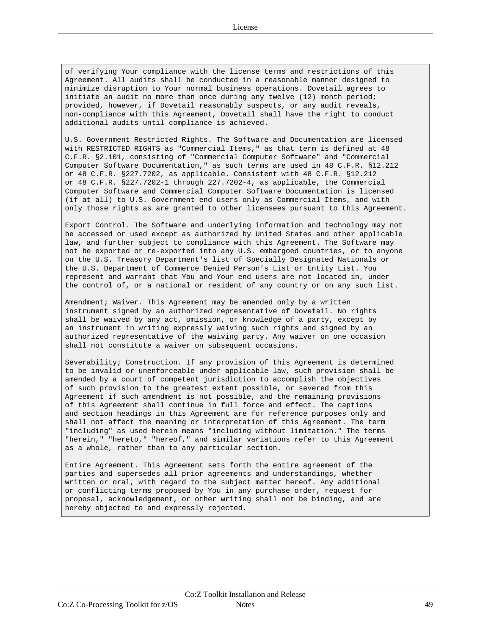of verifying Your compliance with the license terms and restrictions of this Agreement. All audits shall be conducted in a reasonable manner designed to minimize disruption to Your normal business operations. Dovetail agrees to initiate an audit no more than once during any twelve (12) month period; provided, however, if Dovetail reasonably suspects, or any audit reveals, non-compliance with this Agreement, Dovetail shall have the right to conduct additional audits until compliance is achieved.

U.S. Government Restricted Rights. The Software and Documentation are licensed with RESTRICTED RIGHTS as "Commercial Items," as that term is defined at 48 C.F.R. §2.101, consisting of "Commercial Computer Software" and "Commercial Computer Software Documentation," as such terms are used in 48 C.F.R. §12.212 or 48 C.F.R. §227.7202, as applicable. Consistent with 48 C.F.R. §12.212 or 48 C.F.R. §227.7202-1 through 227.7202-4, as applicable, the Commercial Computer Software and Commercial Computer Software Documentation is licensed (if at all) to U.S. Government end users only as Commercial Items, and with only those rights as are granted to other licensees pursuant to this Agreement.

Export Control. The Software and underlying information and technology may not be accessed or used except as authorized by United States and other applicable law, and further subject to compliance with this Agreement. The Software may not be exported or re-exported into any U.S. embargoed countries, or to anyone on the U.S. Treasury Department's list of Specially Designated Nationals or the U.S. Department of Commerce Denied Person's List or Entity List. You represent and warrant that You and Your end users are not located in, under the control of, or a national or resident of any country or on any such list.

Amendment; Waiver. This Agreement may be amended only by a written instrument signed by an authorized representative of Dovetail. No rights shall be waived by any act, omission, or knowledge of a party, except by an instrument in writing expressly waiving such rights and signed by an authorized representative of the waiving party. Any waiver on one occasion shall not constitute a waiver on subsequent occasions.

Severability; Construction. If any provision of this Agreement is determined to be invalid or unenforceable under applicable law, such provision shall be amended by a court of competent jurisdiction to accomplish the objectives of such provision to the greatest extent possible, or severed from this Agreement if such amendment is not possible, and the remaining provisions of this Agreement shall continue in full force and effect. The captions and section headings in this Agreement are for reference purposes only and shall not affect the meaning or interpretation of this Agreement. The term "including" as used herein means "including without limitation." The terms "herein," "hereto," "hereof," and similar variations refer to this Agreement as a whole, rather than to any particular section.

Entire Agreement. This Agreement sets forth the entire agreement of the parties and supersedes all prior agreements and understandings, whether written or oral, with regard to the subject matter hereof. Any additional or conflicting terms proposed by You in any purchase order, request for proposal, acknowledgement, or other writing shall not be binding, and are hereby objected to and expressly rejected.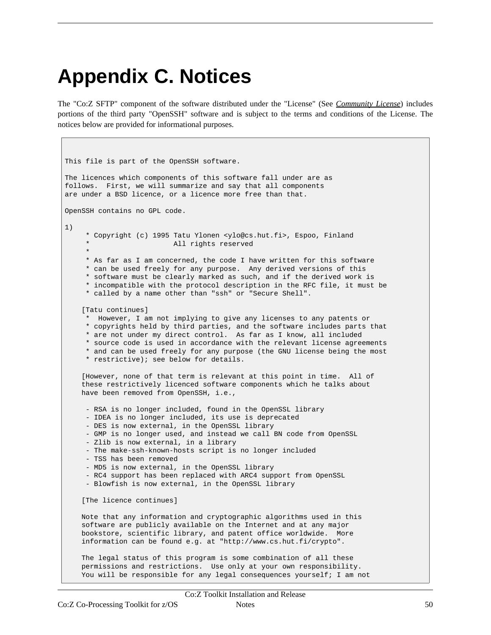# <span id="page-49-0"></span>**Appendix C. Notices**

The "Co:Z SFTP" component of the software distributed under the "License" (See *Community [License](http://coztoolkit.com/docs/cozinstall/licenses.html)*) includes portions of the third party "OpenSSH" software and is subject to the terms and conditions of the License. The notices below are provided for informational purposes.

```
This file is part of the OpenSSH software.
The licences which components of this software fall under are as
follows. First, we will summarize and say that all components
are under a BSD licence, or a licence more free than that.
OpenSSH contains no GPL code.
1)
     * Copyright (c) 1995 Tatu Ylonen <ylo@cs.hut.fi>, Espoo, Finland
                         All rights reserved
     *
     * As far as I am concerned, the code I have written for this software
    * can be used freely for any purpose. Any derived versions of this
    * software must be clearly marked as such, and if the derived work is
    * incompatible with the protocol description in the RFC file, it must be
    * called by a name other than "ssh" or "Secure Shell".
    [Tatu continues]
    * However, I am not implying to give any licenses to any patents or
     * copyrights held by third parties, and the software includes parts that
     * are not under my direct control. As far as I know, all included
     * source code is used in accordance with the relevant license agreements
     * and can be used freely for any purpose (the GNU license being the most
     * restrictive); see below for details.
    [However, none of that term is relevant at this point in time. All of
    these restrictively licenced software components which he talks about
   have been removed from OpenSSH, i.e.,
    - RSA is no longer included, found in the OpenSSL library
    - IDEA is no longer included, its use is deprecated
    - DES is now external, in the OpenSSL library
    - GMP is no longer used, and instead we call BN code from OpenSSL
     - Zlib is now external, in a library
     - The make-ssh-known-hosts script is no longer included
     - TSS has been removed
    - MD5 is now external, in the OpenSSL library
    - RC4 support has been replaced with ARC4 support from OpenSSL
     - Blowfish is now external, in the OpenSSL library
    [The licence continues]
   Note that any information and cryptographic algorithms used in this
   software are publicly available on the Internet and at any major
   bookstore, scientific library, and patent office worldwide. More
   information can be found e.g. at "http://www.cs.hut.fi/crypto".
   The legal status of this program is some combination of all these
   permissions and restrictions. Use only at your own responsibility.
   You will be responsible for any legal consequences yourself; I am not
```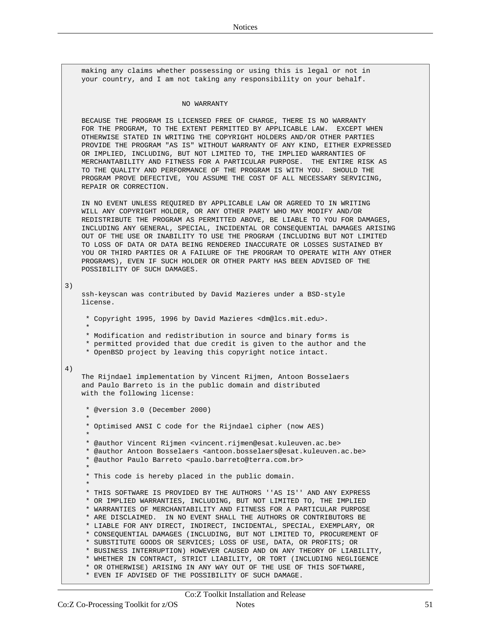making any claims whether possessing or using this is legal or not in your country, and I am not taking any responsibility on your behalf.

#### NO WARRANTY

BECAUSE THE PROGRAM IS LICENSED FREE OF CHARGE, THERE IS NO WARRANTY FOR THE PROGRAM, TO THE EXTENT PERMITTED BY APPLICABLE LAW. EXCEPT WHEN OTHERWISE STATED IN WRITING THE COPYRIGHT HOLDERS AND/OR OTHER PARTIES PROVIDE THE PROGRAM "AS IS" WITHOUT WARRANTY OF ANY KIND, EITHER EXPRESSED OR IMPLIED, INCLUDING, BUT NOT LIMITED TO, THE IMPLIED WARRANTIES OF MERCHANTABILITY AND FITNESS FOR A PARTICULAR PURPOSE. THE ENTIRE RISK AS TO THE QUALITY AND PERFORMANCE OF THE PROGRAM IS WITH YOU. SHOULD THE PROGRAM PROVE DEFECTIVE, YOU ASSUME THE COST OF ALL NECESSARY SERVICING, REPAIR OR CORRECTION.

IN NO EVENT UNLESS REQUIRED BY APPLICABLE LAW OR AGREED TO IN WRITING WILL ANY COPYRIGHT HOLDER, OR ANY OTHER PARTY WHO MAY MODIFY AND/OR REDISTRIBUTE THE PROGRAM AS PERMITTED ABOVE, BE LIABLE TO YOU FOR DAMAGES, INCLUDING ANY GENERAL, SPECIAL, INCIDENTAL OR CONSEQUENTIAL DAMAGES ARISING OUT OF THE USE OR INABILITY TO USE THE PROGRAM (INCLUDING BUT NOT LIMITED TO LOSS OF DATA OR DATA BEING RENDERED INACCURATE OR LOSSES SUSTAINED BY YOU OR THIRD PARTIES OR A FAILURE OF THE PROGRAM TO OPERATE WITH ANY OTHER PROGRAMS), EVEN IF SUCH HOLDER OR OTHER PARTY HAS BEEN ADVISED OF THE POSSIBILITY OF SUCH DAMAGES.

3)

ssh-keyscan was contributed by David Mazieres under a BSD-style license.

- \* Copyright 1995, 1996 by David Mazieres <dm@lcs.mit.edu>.
- \* \* Modification and redistribution in source and binary forms is
- \* permitted provided that due credit is given to the author and the
- \* OpenBSD project by leaving this copyright notice intact.

#### 4)

The Rijndael implementation by Vincent Rijmen, Antoon Bosselaers and Paulo Barreto is in the public domain and distributed with the following license:

\* @version 3.0 (December 2000) \* \* Optimised ANSI C code for the Rijndael cipher (now AES) \* \* @author Vincent Rijmen <vincent.rijmen@esat.kuleuven.ac.be> \* @author Antoon Bosselaers <antoon.bosselaers@esat.kuleuven.ac.be> \* @author Paulo Barreto <paulo.barreto@terra.com.br> \* \* This code is hereby placed in the public domain. \* \* THIS SOFTWARE IS PROVIDED BY THE AUTHORS ''AS IS'' AND ANY EXPRESS \* OR IMPLIED WARRANTIES, INCLUDING, BUT NOT LIMITED TO, THE IMPLIED \* WARRANTIES OF MERCHANTABILITY AND FITNESS FOR A PARTICULAR PURPOSE \* ARE DISCLAIMED. IN NO EVENT SHALL THE AUTHORS OR CONTRIBUTORS BE \* LIABLE FOR ANY DIRECT, INDIRECT, INCIDENTAL, SPECIAL, EXEMPLARY, OR \* CONSEQUENTIAL DAMAGES (INCLUDING, BUT NOT LIMITED TO, PROCUREMENT OF \* SUBSTITUTE GOODS OR SERVICES; LOSS OF USE, DATA, OR PROFITS; OR \* BUSINESS INTERRUPTION) HOWEVER CAUSED AND ON ANY THEORY OF LIABILITY, \* WHETHER IN CONTRACT, STRICT LIABILITY, OR TORT (INCLUDING NEGLIGENCE \* OR OTHERWISE) ARISING IN ANY WAY OUT OF THE USE OF THIS SOFTWARE, \* EVEN IF ADVISED OF THE POSSIBILITY OF SUCH DAMAGE.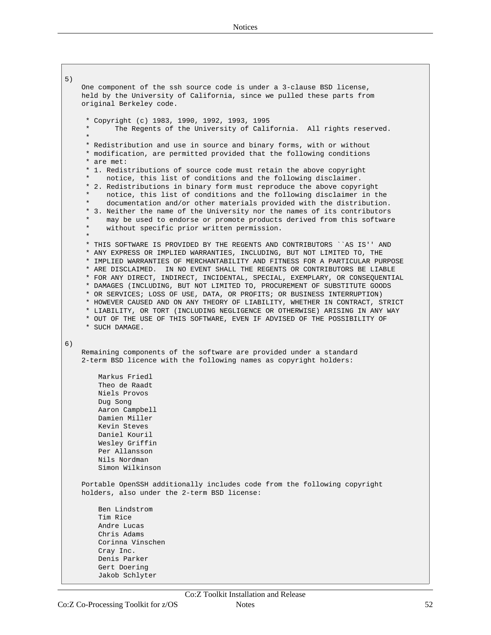5) One component of the ssh source code is under a 3-clause BSD license, held by the University of California, since we pulled these parts from original Berkeley code. \* Copyright (c) 1983, 1990, 1992, 1993, 1995 The Regents of the University of California. All rights reserved. \* \* Redistribution and use in source and binary forms, with or without \* modification, are permitted provided that the following conditions \* are met: \* 1. Redistributions of source code must retain the above copyright notice, this list of conditions and the following disclaimer. \* 2. Redistributions in binary form must reproduce the above copyright notice, this list of conditions and the following disclaimer in the documentation and/or other materials provided with the distribution. \* 3. Neither the name of the University nor the names of its contributors may be used to endorse or promote products derived from this software without specific prior written permission. \* \* THIS SOFTWARE IS PROVIDED BY THE REGENTS AND CONTRIBUTORS ``AS IS'' AND \* ANY EXPRESS OR IMPLIED WARRANTIES, INCLUDING, BUT NOT LIMITED TO, THE \* IMPLIED WARRANTIES OF MERCHANTABILITY AND FITNESS FOR A PARTICULAR PURPOSE \* ARE DISCLAIMED. IN NO EVENT SHALL THE REGENTS OR CONTRIBUTORS BE LIABLE \* FOR ANY DIRECT, INDIRECT, INCIDENTAL, SPECIAL, EXEMPLARY, OR CONSEQUENTIAL \* DAMAGES (INCLUDING, BUT NOT LIMITED TO, PROCUREMENT OF SUBSTITUTE GOODS \* OR SERVICES; LOSS OF USE, DATA, OR PROFITS; OR BUSINESS INTERRUPTION) \* HOWEVER CAUSED AND ON ANY THEORY OF LIABILITY, WHETHER IN CONTRACT, STRICT \* LIABILITY, OR TORT (INCLUDING NEGLIGENCE OR OTHERWISE) ARISING IN ANY WAY \* OUT OF THE USE OF THIS SOFTWARE, EVEN IF ADVISED OF THE POSSIBILITY OF \* SUCH DAMAGE. 6) Remaining components of the software are provided under a standard 2-term BSD licence with the following names as copyright holders: Markus Friedl Theo de Raadt Niels Provos Dug Song Aaron Campbell Damien Miller Kevin Steves Daniel Kouril Wesley Griffin Per Allansson Nils Nordman Simon Wilkinson Portable OpenSSH additionally includes code from the following copyright holders, also under the 2-term BSD license: Ben Lindstrom Tim Rice Andre Lucas Chris Adams Corinna Vinschen Cray Inc. Denis Parker Gert Doering Jakob Schlyter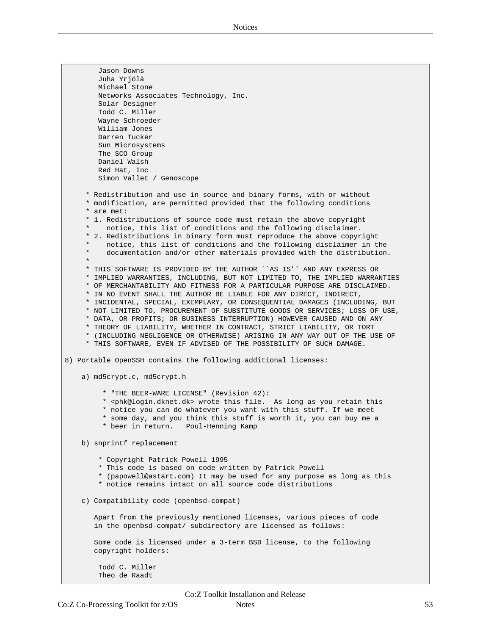Jason Downs Juha Yrjölä Michael Stone Networks Associates Technology, Inc. Solar Designer Todd C. Miller Wayne Schroeder William Jones Darren Tucker Sun Microsystems The SCO Group Daniel Walsh Red Hat, Inc Simon Vallet / Genoscope \* Redistribution and use in source and binary forms, with or without \* modification, are permitted provided that the following conditions \* are met: \* 1. Redistributions of source code must retain the above copyright notice, this list of conditions and the following disclaimer. \* 2. Redistributions in binary form must reproduce the above copyright notice, this list of conditions and the following disclaimer in the documentation and/or other materials provided with the distribution. \* \* THIS SOFTWARE IS PROVIDED BY THE AUTHOR ``AS IS'' AND ANY EXPRESS OR \* IMPLIED WARRANTIES, INCLUDING, BUT NOT LIMITED TO, THE IMPLIED WARRANTIES \* OF MERCHANTABILITY AND FITNESS FOR A PARTICULAR PURPOSE ARE DISCLAIMED. \* IN NO EVENT SHALL THE AUTHOR BE LIABLE FOR ANY DIRECT, INDIRECT, \* INCIDENTAL, SPECIAL, EXEMPLARY, OR CONSEQUENTIAL DAMAGES (INCLUDING, BUT \* NOT LIMITED TO, PROCUREMENT OF SUBSTITUTE GOODS OR SERVICES; LOSS OF USE, \* DATA, OR PROFITS; OR BUSINESS INTERRUPTION) HOWEVER CAUSED AND ON ANY \* THEORY OF LIABILITY, WHETHER IN CONTRACT, STRICT LIABILITY, OR TORT \* (INCLUDING NEGLIGENCE OR OTHERWISE) ARISING IN ANY WAY OUT OF THE USE OF \* THIS SOFTWARE, EVEN IF ADVISED OF THE POSSIBILITY OF SUCH DAMAGE. 8) Portable OpenSSH contains the following additional licenses: a) md5crypt.c, md5crypt.h \* "THE BEER-WARE LICENSE" (Revision 42): \* <phk@login.dknet.dk> wrote this file. As long as you retain this \* notice you can do whatever you want with this stuff. If we meet \* some day, and you think this stuff is worth it, you can buy me a \* beer in return. Poul-Henning Kamp b) snprintf replacement \* Copyright Patrick Powell 1995 \* This code is based on code written by Patrick Powell \* (papowell@astart.com) It may be used for any purpose as long as this \* notice remains intact on all source code distributions c) Compatibility code (openbsd-compat) Apart from the previously mentioned licenses, various pieces of code in the openbsd-compat/ subdirectory are licensed as follows: Some code is licensed under a 3-term BSD license, to the following copyright holders: Todd C. Miller Theo de Raadt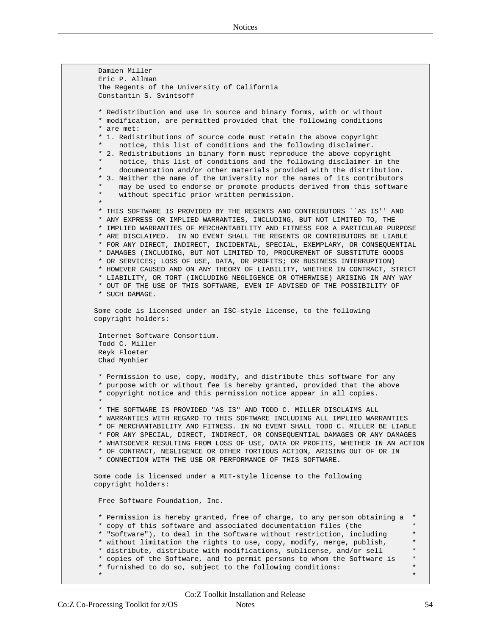Damien Miller Eric P. Allman The Regents of the University of California Constantin S. Svintsoff \* Redistribution and use in source and binary forms, with or without \* modification, are permitted provided that the following conditions \* are met: \* 1. Redistributions of source code must retain the above copyright notice, this list of conditions and the following disclaimer. \* 2. Redistributions in binary form must reproduce the above copyright notice, this list of conditions and the following disclaimer in the documentation and/or other materials provided with the distribution. \* 3. Neither the name of the University nor the names of its contributors may be used to endorse or promote products derived from this software without specific prior written permission. \* \* THIS SOFTWARE IS PROVIDED BY THE REGENTS AND CONTRIBUTORS ``AS IS'' AND \* ANY EXPRESS OR IMPLIED WARRANTIES, INCLUDING, BUT NOT LIMITED TO, THE \* IMPLIED WARRANTIES OF MERCHANTABILITY AND FITNESS FOR A PARTICULAR PURPOSE \* ARE DISCLAIMED. IN NO EVENT SHALL THE REGENTS OR CONTRIBUTORS BE LIABLE \* FOR ANY DIRECT, INDIRECT, INCIDENTAL, SPECIAL, EXEMPLARY, OR CONSEQUENTIAL \* DAMAGES (INCLUDING, BUT NOT LIMITED TO, PROCUREMENT OF SUBSTITUTE GOODS \* OR SERVICES; LOSS OF USE, DATA, OR PROFITS; OR BUSINESS INTERRUPTION) \* HOWEVER CAUSED AND ON ANY THEORY OF LIABILITY, WHETHER IN CONTRACT, STRICT \* LIABILITY, OR TORT (INCLUDING NEGLIGENCE OR OTHERWISE) ARISING IN ANY WAY \* OUT OF THE USE OF THIS SOFTWARE, EVEN IF ADVISED OF THE POSSIBILITY OF \* SUCH DAMAGE. Some code is licensed under an ISC-style license, to the following copyright holders: Internet Software Consortium. Todd C. Miller Reyk Floeter Chad Mynhier \* Permission to use, copy, modify, and distribute this software for any \* purpose with or without fee is hereby granted, provided that the above \* copyright notice and this permission notice appear in all copies. \* \* THE SOFTWARE IS PROVIDED "AS IS" AND TODD C. MILLER DISCLAIMS ALL \* WARRANTIES WITH REGARD TO THIS SOFTWARE INCLUDING ALL IMPLIED WARRANTIES \* OF MERCHANTABILITY AND FITNESS. IN NO EVENT SHALL TODD C. MILLER BE LIABLE \* FOR ANY SPECIAL, DIRECT, INDIRECT, OR CONSEQUENTIAL DAMAGES OR ANY DAMAGES \* WHATSOEVER RESULTING FROM LOSS OF USE, DATA OR PROFITS, WHETHER IN AN ACTION \* OF CONTRACT, NEGLIGENCE OR OTHER TORTIOUS ACTION, ARISING OUT OF OR IN \* CONNECTION WITH THE USE OR PERFORMANCE OF THIS SOFTWARE. Some code is licensed under a MIT-style license to the following copyright holders: Free Software Foundation, Inc. \* Permission is hereby granted, free of charge, to any person obtaining a \* \* copy of this software and associated documentation files (the \* \* "Software"), to deal in the Software without restriction, including \* \* without limitation the rights to use, copy, modify, merge, publish, \* \* distribute, distribute with modifications, sublicense, and/or sell \* \* copies of the Software, and to permit persons to whom the Software is \* \* furnished to do so, subject to the following conditions: \*  $\star$   $\star$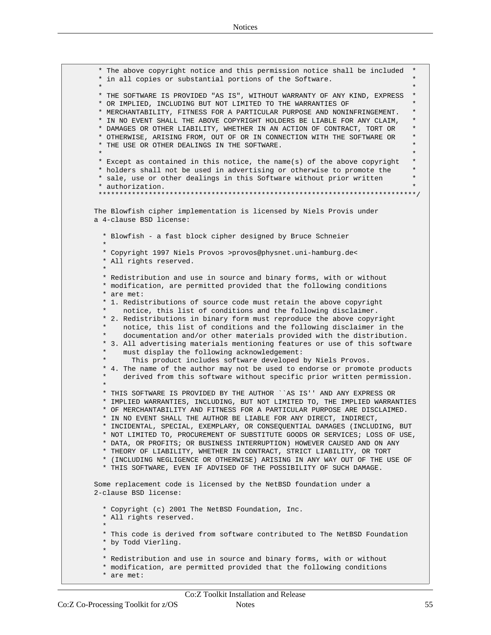```
* The above copyright notice and this permission notice shall be included *
 * in all copies or substantial portions of the Software. *
 \star *
 * THE SOFTWARE IS PROVIDED "AS IS", WITHOUT WARRANTY OF ANY KIND, EXPRESS *
 * OR IMPLIED, INCLUDING BUT NOT LIMITED TO THE WARRANTIES OF *
 * MERCHANTABILITY, FITNESS FOR A PARTICULAR PURPOSE AND NONINFRINGEMENT.
 * IN NO EVENT SHALL THE ABOVE COPYRIGHT HOLDERS BE LIABLE FOR ANY CLAIM, *
 * DAMAGES OR OTHER LIABILITY, WHETHER IN AN ACTION OF CONTRACT, TORT OR *
 * OTHERWISE, ARISING FROM, OUT OF OR IN CONNECTION WITH THE SOFTWARE OR *
 * THE USE OR OTHER DEALINGS IN THE SOFTWARE. *
 \star *
* Except as contained in this notice, the name(s) of the above copyright *
 * holders shall not be used in advertising or otherwise to promote the *
 * sale, use or other dealings in this Software without prior written *
 * authorization. *
 ****************************************************************************/
The Blowfish cipher implementation is licensed by Niels Provis under
a 4-clause BSD license:
  * Blowfish - a fast block cipher designed by Bruce Schneier
  *
  * Copyright 1997 Niels Provos >provos@physnet.uni-hamburg.de<
  * All rights reserved.
  *
  * Redistribution and use in source and binary forms, with or without
  * modification, are permitted provided that the following conditions
  * are met:
  * 1. Redistributions of source code must retain the above copyright
      notice, this list of conditions and the following disclaimer.
  * 2. Redistributions in binary form must reproduce the above copyright
      notice, this list of conditions and the following disclaimer in the
      documentation and/or other materials provided with the distribution.
  * 3. All advertising materials mentioning features or use of this software
      must display the following acknowledgement:
        This product includes software developed by Niels Provos.
  * 4. The name of the author may not be used to endorse or promote products
      derived from this software without specific prior written permission.
  *
 * THIS SOFTWARE IS PROVIDED BY THE AUTHOR ``AS IS'' AND ANY EXPRESS OR
  * IMPLIED WARRANTIES, INCLUDING, BUT NOT LIMITED TO, THE IMPLIED WARRANTIES
  * OF MERCHANTABILITY AND FITNESS FOR A PARTICULAR PURPOSE ARE DISCLAIMED.
  * IN NO EVENT SHALL THE AUTHOR BE LIABLE FOR ANY DIRECT, INDIRECT,
  * INCIDENTAL, SPECIAL, EXEMPLARY, OR CONSEQUENTIAL DAMAGES (INCLUDING, BUT
  * NOT LIMITED TO, PROCUREMENT OF SUBSTITUTE GOODS OR SERVICES; LOSS OF USE,
  * DATA, OR PROFITS; OR BUSINESS INTERRUPTION) HOWEVER CAUSED AND ON ANY
  * THEORY OF LIABILITY, WHETHER IN CONTRACT, STRICT LIABILITY, OR TORT
  * (INCLUDING NEGLIGENCE OR OTHERWISE) ARISING IN ANY WAY OUT OF THE USE OF
  * THIS SOFTWARE, EVEN IF ADVISED OF THE POSSIBILITY OF SUCH DAMAGE.
Some replacement code is licensed by the NetBSD foundation under a
2-clause BSD license:
  * Copyright (c) 2001 The NetBSD Foundation, Inc.
  * All rights reserved.
  *
  * This code is derived from software contributed to The NetBSD Foundation
  * by Todd Vierling.
  *
  * Redistribution and use in source and binary forms, with or without
  * modification, are permitted provided that the following conditions
  * are met:
```